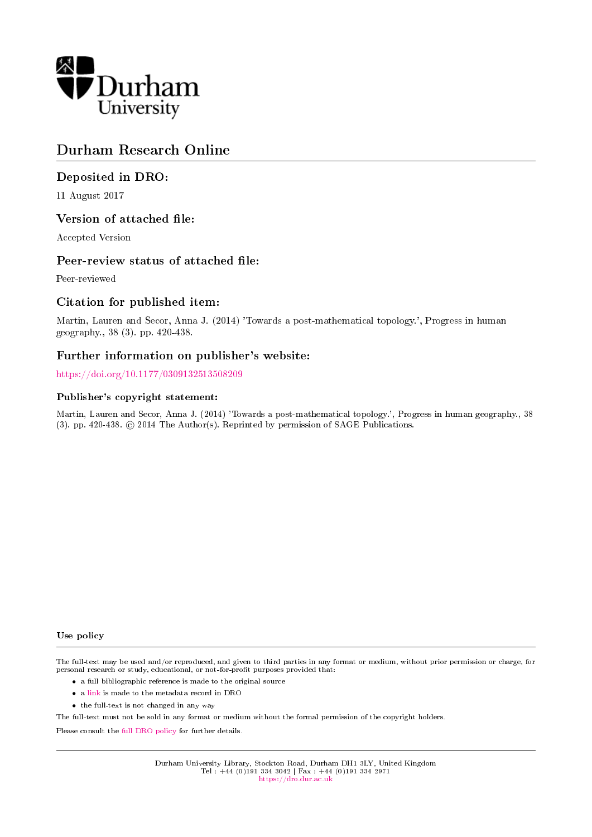

## Durham Research Online

## Deposited in DRO:

11 August 2017

## Version of attached file:

Accepted Version

## Peer-review status of attached file:

Peer-reviewed

## Citation for published item:

Martin, Lauren and Secor, Anna J. (2014) 'Towards a post-mathematical topology.', Progress in human geography., 38 (3). pp. 420-438.

## Further information on publisher's website:

<https://doi.org/10.1177/0309132513508209>

#### Publisher's copyright statement:

Martin, Lauren and Secor, Anna J. (2014) 'Towards a post-mathematical topology.', Progress in human geography., 38 (3). pp. 420-438.  $\odot$  2014 The Author(s). Reprinted by permission of SAGE Publications.

Use policy

The full-text may be used and/or reproduced, and given to third parties in any format or medium, without prior permission or charge, for personal research or study, educational, or not-for-profit purposes provided that:

- a full bibliographic reference is made to the original source
- a [link](http://dro.dur.ac.uk/22602/) is made to the metadata record in DRO
- the full-text is not changed in any way

The full-text must not be sold in any format or medium without the formal permission of the copyright holders.

Please consult the [full DRO policy](https://dro.dur.ac.uk/policies/usepolicy.pdf) for further details.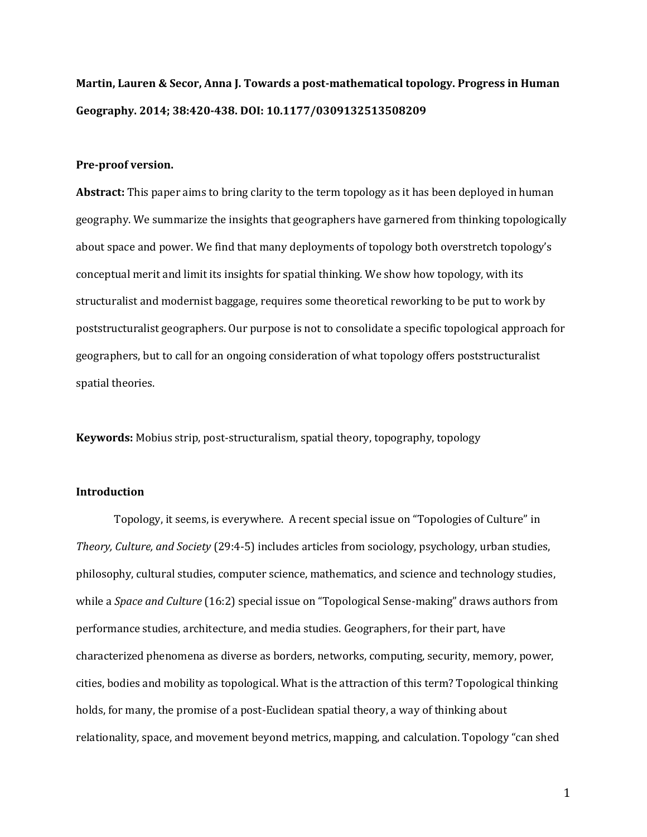# **Martin, Lauren & Secor, Anna J. Towards a post-mathematical topology. Progress in Human Geography. 2014; 38:420-438. DOI: 10.1177/0309132513508209**

#### **Pre-proof version.**

**Abstract:** This paper aims to bring clarity to the term topology as it has been deployed in human geography. We summarize the insights that geographers have garnered from thinking topologically about space and power. We find that many deployments of topology both overstretch topology's conceptual merit and limit its insights for spatial thinking. We show how topology, with its structuralist and modernist baggage, requires some theoretical reworking to be put to work by poststructuralist geographers. Our purpose is not to consolidate a specific topological approach for geographers, but to call for an ongoing consideration of what topology offers poststructuralist spatial theories.

**Keywords:** Mobius strip, post-structuralism, spatial theory, topography, topology

#### **Introduction**

Topology, it seems, is everywhere. A recent special issue on "Topologies of Culture" in *Theory, Culture, and Society* (29:4-5) includes articles from sociology, psychology, urban studies, philosophy, cultural studies, computer science, mathematics, and science and technology studies, while a *Space and Culture* (16:2) special issue on "Topological Sense-making" draws authors from performance studies, architecture, and media studies. Geographers, for their part, have characterized phenomena as diverse as borders, networks, computing, security, memory, power, cities, bodies and mobility as topological. What is the attraction of this term? Topological thinking holds, for many, the promise of a post-Euclidean spatial theory, a way of thinking about relationality, space, and movement beyond metrics, mapping, and calculation. Topology "can shed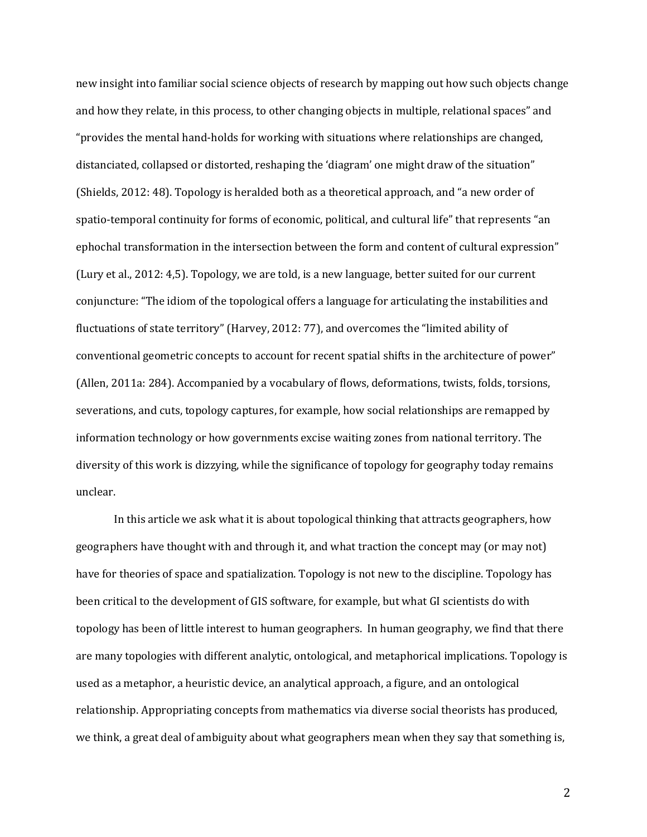new insight into familiar social science objects of research by mapping out how such objects change and how they relate, in this process, to other changing objects in multiple, relational spaces" and "provides the mental hand-holds for working with situations where relationships are changed, distanciated, collapsed or distorted, reshaping the 'diagram' one might draw of the situation" (Shields, 2012: 48). Topology is heralded both as a theoretical approach, and "a new order of spatio-temporal continuity for forms of economic, political, and cultural life" that represents "an ephochal transformation in the intersection between the form and content of cultural expression" (Lury et al., 2012: 4,5). Topology, we are told, is a new language, better suited for our current conjuncture: "The idiom of the topological offers a language for articulating the instabilities and fluctuations of state territory" (Harvey, 2012: 77), and overcomes the "limited ability of conventional geometric concepts to account for recent spatial shifts in the architecture of power" (Allen, 2011a: 284). Accompanied by a vocabulary of flows, deformations, twists, folds, torsions, severations, and cuts, topology captures, for example, how social relationships are remapped by information technology or how governments excise waiting zones from national territory. The diversity of this work is dizzying, while the significance of topology for geography today remains unclear.

In this article we ask what it is about topological thinking that attracts geographers, how geographers have thought with and through it, and what traction the concept may (or may not) have for theories of space and spatialization. Topology is not new to the discipline. Topology has been critical to the development of GIS software, for example, but what GI scientists do with topology has been of little interest to human geographers. In human geography, we find that there are many topologies with different analytic, ontological, and metaphorical implications. Topology is used as a metaphor, a heuristic device, an analytical approach, a figure, and an ontological relationship. Appropriating concepts from mathematics via diverse social theorists has produced, we think, a great deal of ambiguity about what geographers mean when they say that something is,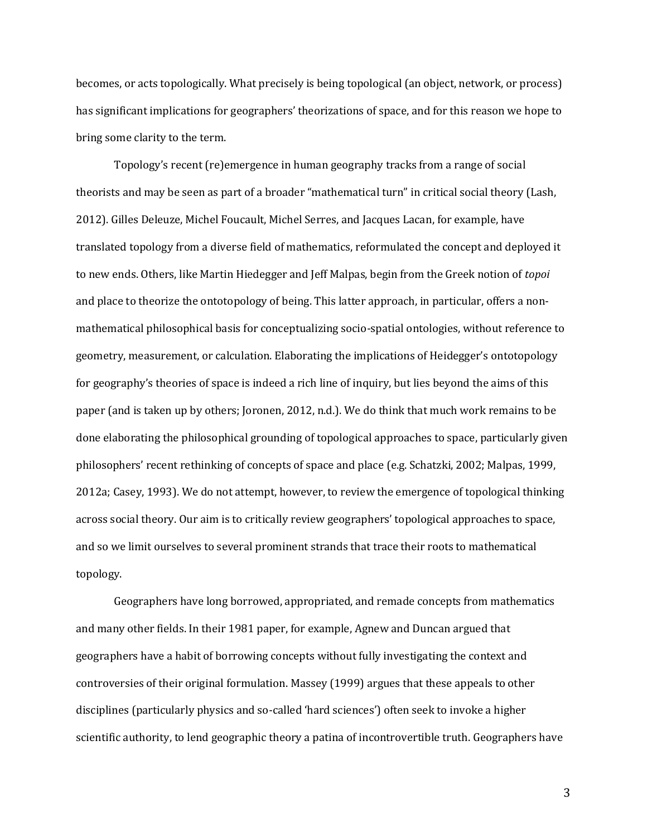becomes, or acts topologically. What precisely is being topological (an object, network, or process) has significant implications for geographers' theorizations of space, and for this reason we hope to bring some clarity to the term.

Topology's recent (re)emergence in human geography tracks from a range of social theorists and may be seen as part of a broader "mathematical turn" in critical social theory (Lash, 2012). Gilles Deleuze, Michel Foucault, Michel Serres, and Jacques Lacan, for example, have translated topology from a diverse field of mathematics, reformulated the concept and deployed it to new ends. Others, like Martin Hiedegger and Jeff Malpas, begin from the Greek notion of *topoi*  and place to theorize the ontotopology of being. This latter approach, in particular, offers a nonmathematical philosophical basis for conceptualizing socio-spatial ontologies, without reference to geometry, measurement, or calculation. Elaborating the implications of Heidegger's ontotopology for geography's theories of space is indeed a rich line of inquiry, but lies beyond the aims of this paper (and is taken up by others; Joronen, 2012, n.d.). We do think that much work remains to be done elaborating the philosophical grounding of topological approaches to space, particularly given philosophers' recent rethinking of concepts of space and place (e.g. Schatzki, 2002; Malpas, 1999, 2012a; Casey, 1993). We do not attempt, however, to review the emergence of topological thinking across social theory. Our aim is to critically review geographers' topological approaches to space, and so we limit ourselves to several prominent strands that trace their roots to mathematical topology.

Geographers have long borrowed, appropriated, and remade concepts from mathematics and many other fields. In their 1981 paper, for example, Agnew and Duncan argued that geographers have a habit of borrowing concepts without fully investigating the context and controversies of their original formulation. Massey (1999) argues that these appeals to other disciplines (particularly physics and so-called 'hard sciences') often seek to invoke a higher scientific authority, to lend geographic theory a patina of incontrovertible truth. Geographers have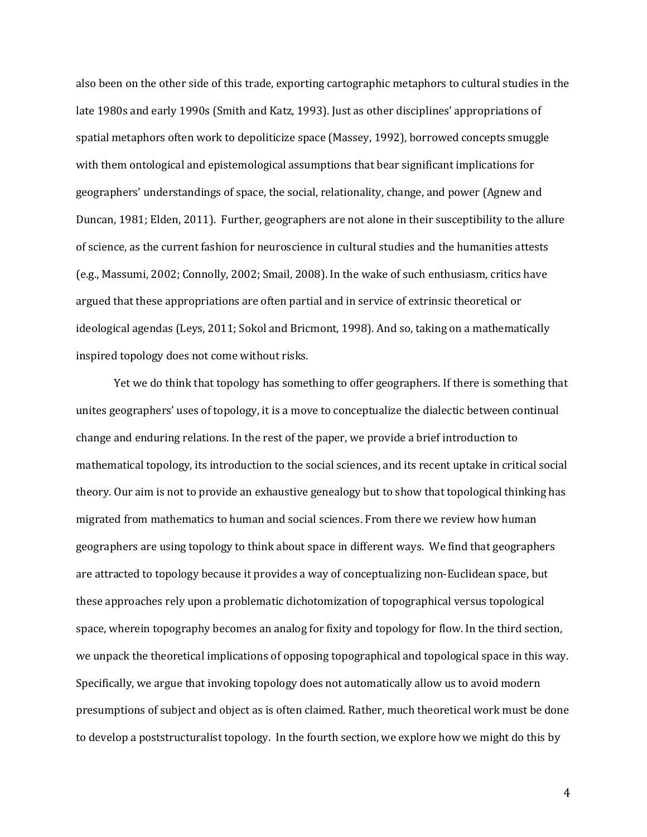also been on the other side of this trade, exporting cartographic metaphors to cultural studies in the late 1980s and early 1990s (Smith and Katz, 1993). Just as other disciplines' appropriations of spatial metaphors often work to depoliticize space (Massey, 1992), borrowed concepts smuggle with them ontological and epistemological assumptions that bear significant implications for geographers' understandings of space, the social, relationality, change, and power (Agnew and Duncan, 1981; Elden, 2011). Further, geographers are not alone in their susceptibility to the allure of science, as the current fashion for neuroscience in cultural studies and the humanities attests (e.g., Massumi, 2002; Connolly, 2002; Smail, 2008). In the wake of such enthusiasm, critics have argued that these appropriations are often partial and in service of extrinsic theoretical or ideological agendas (Leys, 2011; Sokol and Bricmont, 1998). And so, taking on a mathematically inspired topology does not come without risks.

Yet we do think that topology has something to offer geographers. If there is something that unites geographers' uses of topology, it is a move to conceptualize the dialectic between continual change and enduring relations. In the rest of the paper, we provide a brief introduction to mathematical topology, its introduction to the social sciences, and its recent uptake in critical social theory. Our aim is not to provide an exhaustive genealogy but to show that topological thinking has migrated from mathematics to human and social sciences. From there we review how human geographers are using topology to think about space in different ways. We find that geographers are attracted to topology because it provides a way of conceptualizing non-Euclidean space, but these approaches rely upon a problematic dichotomization of topographical versus topological space, wherein topography becomes an analog for fixity and topology for flow. In the third section, we unpack the theoretical implications of opposing topographical and topological space in this way. Specifically, we argue that invoking topology does not automatically allow us to avoid modern presumptions of subject and object as is often claimed. Rather, much theoretical work must be done to develop a poststructuralist topology. In the fourth section, we explore how we might do this by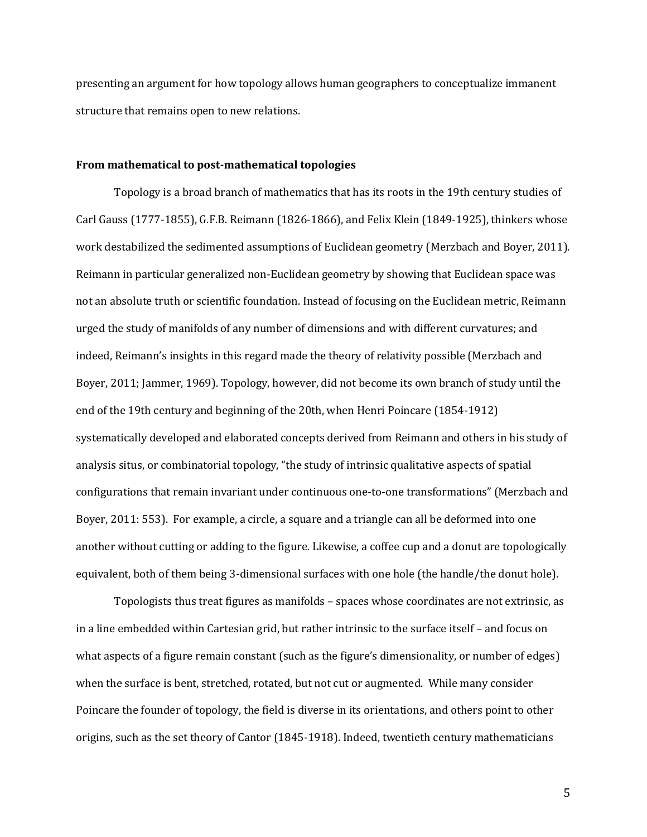presenting an argument for how topology allows human geographers to conceptualize immanent structure that remains open to new relations.

#### **From mathematical to post-mathematical topologies**

Topology is a broad branch of mathematics that has its roots in the 19th century studies of Carl Gauss (1777-1855), G.F.B. Reimann (1826-1866), and Felix Klein (1849-1925), thinkers whose work destabilized the sedimented assumptions of Euclidean geometry (Merzbach and Boyer, 2011). Reimann in particular generalized non-Euclidean geometry by showing that Euclidean space was not an absolute truth or scientific foundation. Instead of focusing on the Euclidean metric, Reimann urged the study of manifolds of any number of dimensions and with different curvatures; and indeed, Reimann's insights in this regard made the theory of relativity possible (Merzbach and Boyer, 2011; Jammer, 1969). Topology, however, did not become its own branch of study until the end of the 19th century and beginning of the 20th, when Henri Poincare (1854-1912) systematically developed and elaborated concepts derived from Reimann and others in his study of analysis situs, or combinatorial topology, "the study of intrinsic qualitative aspects of spatial configurations that remain invariant under continuous one-to-one transformations" (Merzbach and Boyer, 2011: 553). For example, a circle, a square and a triangle can all be deformed into one another without cutting or adding to the figure. Likewise, a coffee cup and a donut are topologically equivalent, both of them being 3-dimensional surfaces with one hole (the handle/the donut hole).

Topologists thus treat figures as manifolds – spaces whose coordinates are not extrinsic, as in a line embedded within Cartesian grid, but rather intrinsic to the surface itself – and focus on what aspects of a figure remain constant (such as the figure's dimensionality, or number of edges) when the surface is bent, stretched, rotated, but not cut or augmented. While many consider Poincare the founder of topology, the field is diverse in its orientations, and others point to other origins, such as the set theory of Cantor (1845-1918). Indeed, twentieth century mathematicians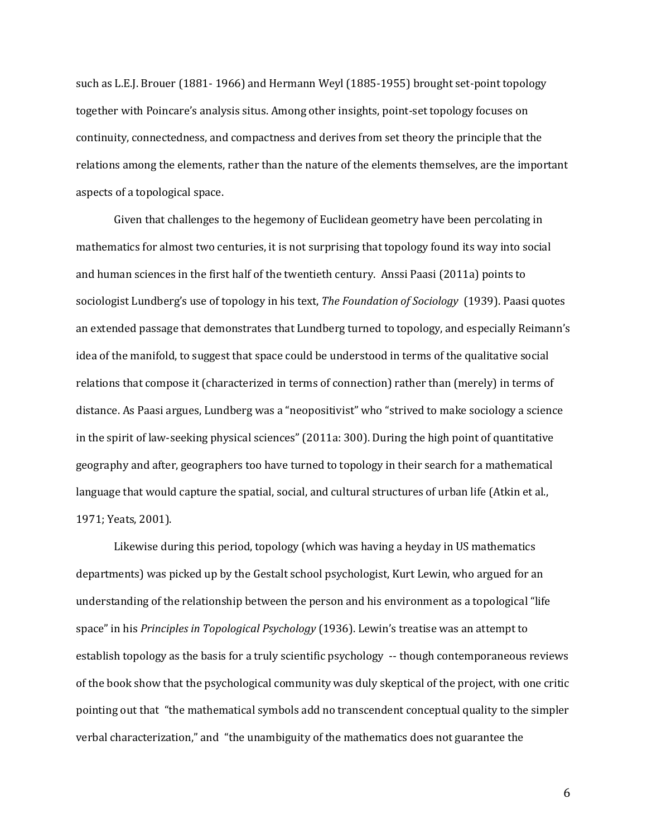such as L.E.J. Brouer (1881- 1966) and Hermann Weyl (1885-1955) brought set-point topology together with Poincare's analysis situs. Among other insights, point-set topology focuses on continuity, connectedness, and compactness and derives from set theory the principle that the relations among the elements, rather than the nature of the elements themselves, are the important aspects of a topological space.

 Given that challenges to the hegemony of Euclidean geometry have been percolating in mathematics for almost two centuries, it is not surprising that topology found its way into social and human sciences in the first half of the twentieth century. Anssi Paasi (2011a) points to sociologist Lundberg's use of topology in his text, *The Foundation of Sociology* (1939). Paasi quotes an extended passage that demonstrates that Lundberg turned to topology, and especially Reimann's idea of the manifold, to suggest that space could be understood in terms of the qualitative social relations that compose it (characterized in terms of connection) rather than (merely) in terms of distance. As Paasi argues, Lundberg was a "neopositivist" who "strived to make sociology a science in the spirit of law-seeking physical sciences" (2011a: 300). During the high point of quantitative geography and after, geographers too have turned to topology in their search for a mathematical language that would capture the spatial, social, and cultural structures of urban life (Atkin et al., 1971; Yeats, 2001).

Likewise during this period, topology (which was having a heyday in US mathematics departments) was picked up by the Gestalt school psychologist, Kurt Lewin, who argued for an understanding of the relationship between the person and his environment as a topological "life space" in his *Principles in Topological Psychology* (1936). Lewin's treatise was an attempt to establish topology as the basis for a truly scientific psychology -- though contemporaneous reviews of the book show that the psychological community was duly skeptical of the project, with one critic pointing out that "the mathematical symbols add no transcendent conceptual quality to the simpler verbal characterization," and "the unambiguity of the mathematics does not guarantee the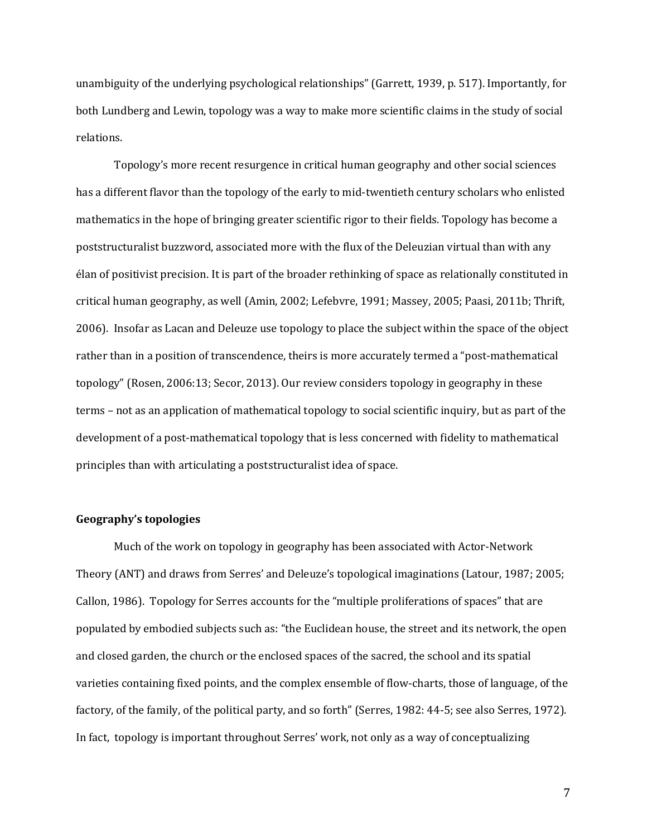unambiguity of the underlying psychological relationships" (Garrett, 1939, p. 517). Importantly, for both Lundberg and Lewin, topology was a way to make more scientific claims in the study of social relations.

Topology's more recent resurgence in critical human geography and other social sciences has a different flavor than the topology of the early to mid-twentieth century scholars who enlisted mathematics in the hope of bringing greater scientific rigor to their fields. Topology has become a poststructuralist buzzword, associated more with the flux of the Deleuzian virtual than with any élan of positivist precision. It is part of the broader rethinking of space as relationally constituted in critical human geography, as well (Amin, 2002; Lefebvre, 1991; Massey, 2005; Paasi, 2011b; Thrift, 2006). Insofar as Lacan and Deleuze use topology to place the subject within the space of the object rather than in a position of transcendence, theirs is more accurately termed a "post-mathematical topology" (Rosen, 2006:13; Secor, 2013). Our review considers topology in geography in these terms – not as an application of mathematical topology to social scientific inquiry, but as part of the development of a post-mathematical topology that is less concerned with fidelity to mathematical principles than with articulating a poststructuralist idea of space.

#### **Geography's topologies**

Much of the work on topology in geography has been associated with Actor-Network Theory (ANT) and draws from Serres' and Deleuze's topological imaginations (Latour, 1987; 2005; Callon, 1986). Topology for Serres accounts for the "multiple proliferations of spaces" that are populated by embodied subjects such as: "the Euclidean house, the street and its network, the open and closed garden, the church or the enclosed spaces of the sacred, the school and its spatial varieties containing fixed points, and the complex ensemble of flow-charts, those of language, of the factory, of the family, of the political party, and so forth" (Serres, 1982: 44-5; see also Serres, 1972). In fact, topology is important throughout Serres' work, not only as a way of conceptualizing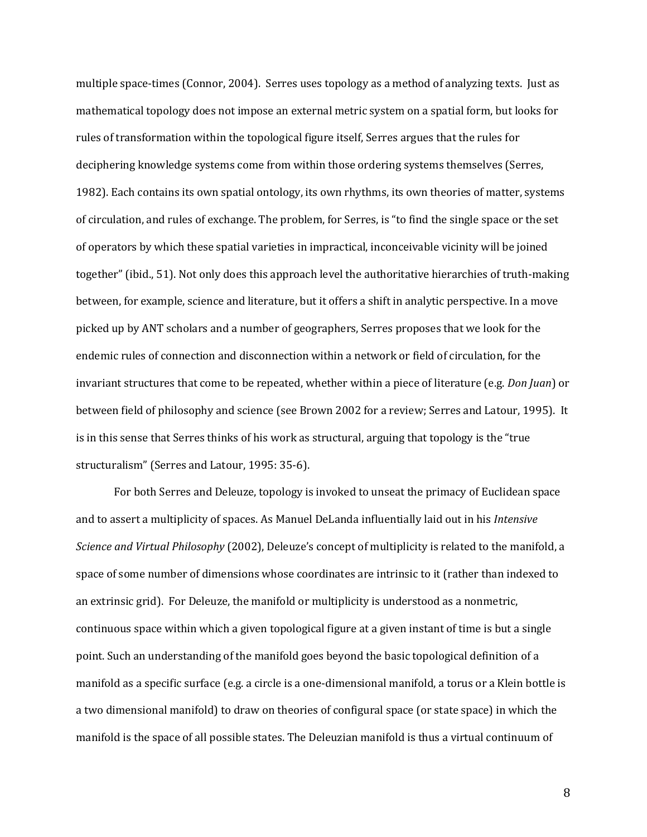multiple space-times (Connor, 2004). Serres uses topology as a method of analyzing texts. Just as mathematical topology does not impose an external metric system on a spatial form, but looks for rules of transformation within the topological figure itself, Serres argues that the rules for deciphering knowledge systems come from within those ordering systems themselves (Serres, 1982). Each contains its own spatial ontology, its own rhythms, its own theories of matter, systems of circulation, and rules of exchange. The problem, for Serres, is "to find the single space or the set of operators by which these spatial varieties in impractical, inconceivable vicinity will be joined together" (ibid., 51). Not only does this approach level the authoritative hierarchies of truth-making between, for example, science and literature, but it offers a shift in analytic perspective. In a move picked up by ANT scholars and a number of geographers, Serres proposes that we look for the endemic rules of connection and disconnection within a network or field of circulation, for the invariant structures that come to be repeated, whether within a piece of literature (e.g. *Don Juan*) or between field of philosophy and science (see Brown 2002 for a review; Serres and Latour, 1995). It is in this sense that Serres thinks of his work as structural, arguing that topology is the "true structuralism" (Serres and Latour, 1995: 35-6).

For both Serres and Deleuze, topology is invoked to unseat the primacy of Euclidean space and to assert a multiplicity of spaces. As Manuel DeLanda influentially laid out in his *Intensive Science and Virtual Philosophy* (2002), Deleuze's concept of multiplicity is related to the manifold, a space of some number of dimensions whose coordinates are intrinsic to it (rather than indexed to an extrinsic grid). For Deleuze, the manifold or multiplicity is understood as a nonmetric, continuous space within which a given topological figure at a given instant of time is but a single point. Such an understanding of the manifold goes beyond the basic topological definition of a manifold as a specific surface (e.g. a circle is a one-dimensional manifold, a torus or a Klein bottle is a two dimensional manifold) to draw on theories of configural space (or state space) in which the manifold is the space of all possible states. The Deleuzian manifold is thus a virtual continuum of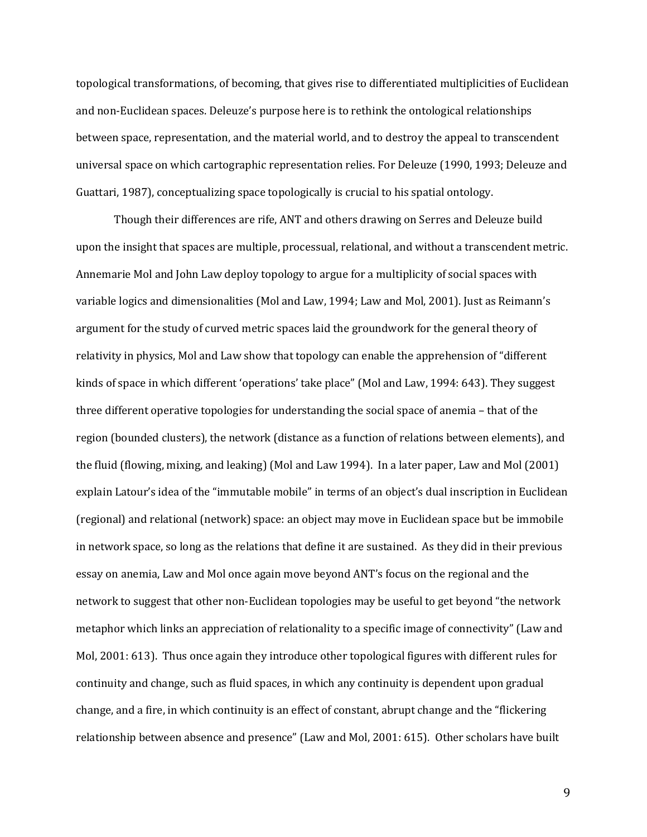topological transformations, of becoming, that gives rise to differentiated multiplicities of Euclidean and non-Euclidean spaces. Deleuze's purpose here is to rethink the ontological relationships between space, representation, and the material world, and to destroy the appeal to transcendent universal space on which cartographic representation relies. For Deleuze (1990, 1993; Deleuze and Guattari, 1987), conceptualizing space topologically is crucial to his spatial ontology.

Though their differences are rife, ANT and others drawing on Serres and Deleuze build upon the insight that spaces are multiple, processual, relational, and without a transcendent metric. Annemarie Mol and John Law deploy topology to argue for a multiplicity of social spaces with variable logics and dimensionalities (Mol and Law, 1994; Law and Mol, 2001). Just as Reimann's argument for the study of curved metric spaces laid the groundwork for the general theory of relativity in physics, Mol and Law show that topology can enable the apprehension of "different kinds of space in which different 'operations' take place" (Mol and Law, 1994: 643). They suggest three different operative topologies for understanding the social space of anemia – that of the region (bounded clusters), the network (distance as a function of relations between elements), and the fluid (flowing, mixing, and leaking) (Mol and Law 1994). In a later paper, Law and Mol (2001) explain Latour's idea of the "immutable mobile" in terms of an object's dual inscription in Euclidean (regional) and relational (network) space: an object may move in Euclidean space but be immobile in network space, so long as the relations that define it are sustained. As they did in their previous essay on anemia, Law and Mol once again move beyond ANT's focus on the regional and the network to suggest that other non-Euclidean topologies may be useful to get beyond "the network metaphor which links an appreciation of relationality to a specific image of connectivity" (Law and Mol, 2001: 613). Thus once again they introduce other topological figures with different rules for continuity and change, such as fluid spaces, in which any continuity is dependent upon gradual change, and a fire, in which continuity is an effect of constant, abrupt change and the "flickering relationship between absence and presence" (Law and Mol, 2001: 615). Other scholars have built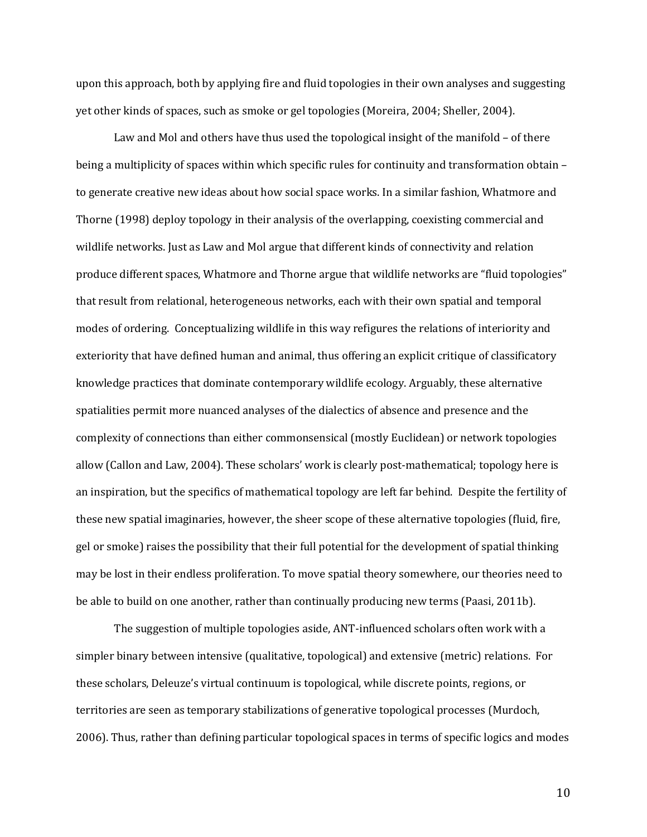upon this approach, both by applying fire and fluid topologies in their own analyses and suggesting yet other kinds of spaces, such as smoke or gel topologies (Moreira, 2004; Sheller, 2004).

Law and Mol and others have thus used the topological insight of the manifold – of there being a multiplicity of spaces within which specific rules for continuity and transformation obtain – to generate creative new ideas about how social space works. In a similar fashion, Whatmore and Thorne (1998) deploy topology in their analysis of the overlapping, coexisting commercial and wildlife networks. Just as Law and Mol argue that different kinds of connectivity and relation produce different spaces, Whatmore and Thorne argue that wildlife networks are "fluid topologies" that result from relational, heterogeneous networks, each with their own spatial and temporal modes of ordering. Conceptualizing wildlife in this way refigures the relations of interiority and exteriority that have defined human and animal, thus offering an explicit critique of classificatory knowledge practices that dominate contemporary wildlife ecology. Arguably, these alternative spatialities permit more nuanced analyses of the dialectics of absence and presence and the complexity of connections than either commonsensical (mostly Euclidean) or network topologies allow (Callon and Law, 2004). These scholars' work is clearly post-mathematical; topology here is an inspiration, but the specifics of mathematical topology are left far behind. Despite the fertility of these new spatial imaginaries, however, the sheer scope of these alternative topologies (fluid, fire, gel or smoke) raises the possibility that their full potential for the development of spatial thinking may be lost in their endless proliferation. To move spatial theory somewhere, our theories need to be able to build on one another, rather than continually producing new terms (Paasi, 2011b).

The suggestion of multiple topologies aside, ANT-influenced scholars often work with a simpler binary between intensive (qualitative, topological) and extensive (metric) relations. For these scholars, Deleuze's virtual continuum is topological, while discrete points, regions, or territories are seen as temporary stabilizations of generative topological processes (Murdoch, 2006). Thus, rather than defining particular topological spaces in terms of specific logics and modes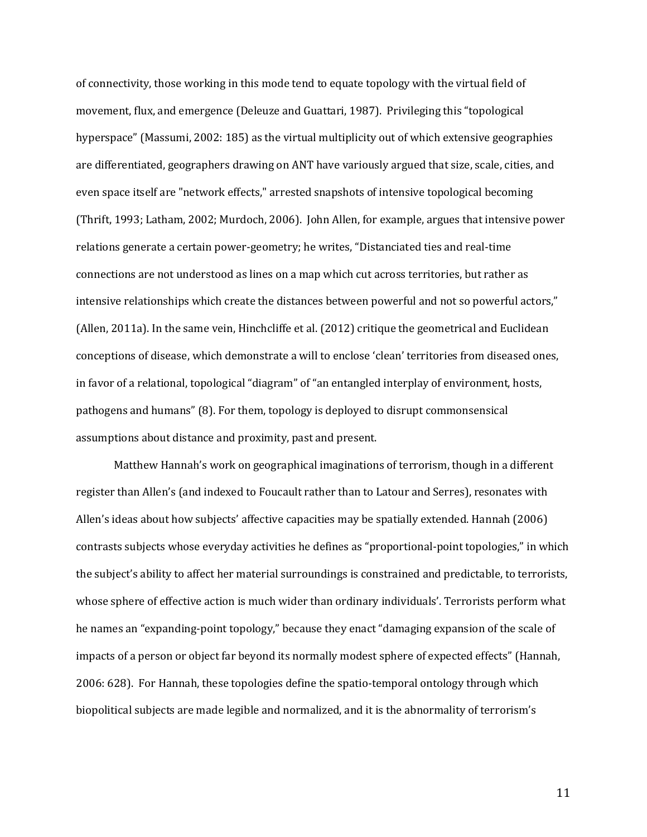of connectivity, those working in this mode tend to equate topology with the virtual field of movement, flux, and emergence (Deleuze and Guattari, 1987). Privileging this "topological hyperspace" (Massumi, 2002: 185) as the virtual multiplicity out of which extensive geographies are differentiated, geographers drawing on ANT have variously argued that size, scale, cities, and even space itself are "network effects," arrested snapshots of intensive topological becoming (Thrift, 1993; Latham, 2002; Murdoch, 2006). John Allen, for example, argues that intensive power relations generate a certain power-geometry; he writes, "Distanciated ties and real-time connections are not understood as lines on a map which cut across territories, but rather as intensive relationships which create the distances between powerful and not so powerful actors," (Allen, 2011a). In the same vein, Hinchcliffe et al. (2012) critique the geometrical and Euclidean conceptions of disease, which demonstrate a will to enclose 'clean' territories from diseased ones, in favor of a relational, topological "diagram" of "an entangled interplay of environment, hosts, pathogens and humans" (8). For them, topology is deployed to disrupt commonsensical assumptions about distance and proximity, past and present.

Matthew Hannah's work on geographical imaginations of terrorism, though in a different register than Allen's (and indexed to Foucault rather than to Latour and Serres), resonates with Allen's ideas about how subjects' affective capacities may be spatially extended. Hannah (2006) contrasts subjects whose everyday activities he defines as "proportional-point topologies," in which the subject's ability to affect her material surroundings is constrained and predictable, to terrorists, whose sphere of effective action is much wider than ordinary individuals'. Terrorists perform what he names an "expanding-point topology," because they enact "damaging expansion of the scale of impacts of a person or object far beyond its normally modest sphere of expected effects" (Hannah, 2006: 628). For Hannah, these topologies define the spatio-temporal ontology through which biopolitical subjects are made legible and normalized, and it is the abnormality of terrorism's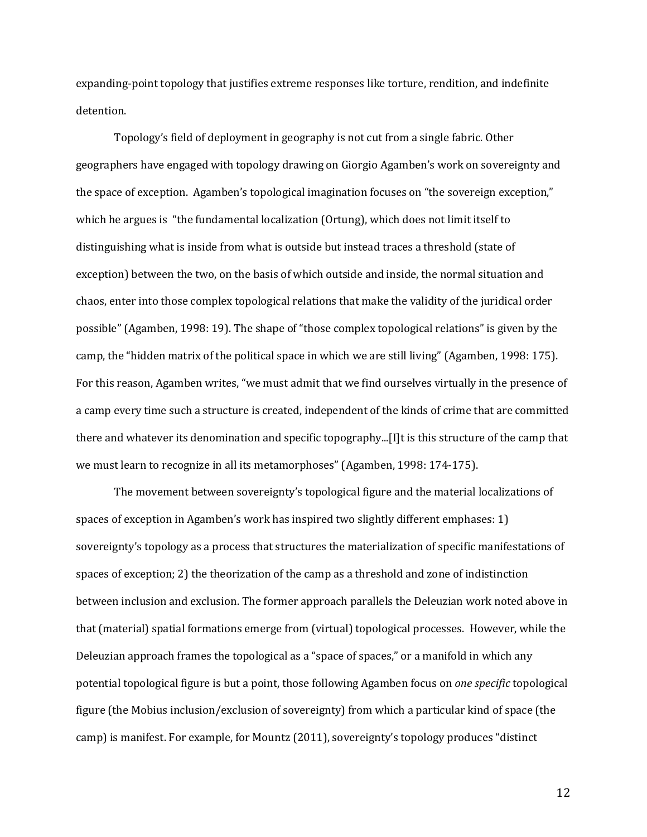expanding-point topology that justifies extreme responses like torture, rendition, and indefinite detention.

Topology's field of deployment in geography is not cut from a single fabric. Other geographers have engaged with topology drawing on Giorgio Agamben's work on sovereignty and the space of exception. Agamben's topological imagination focuses on "the sovereign exception," which he argues is "the fundamental localization (Ortung), which does not limit itself to distinguishing what is inside from what is outside but instead traces a threshold (state of exception) between the two, on the basis of which outside and inside, the normal situation and chaos, enter into those complex topological relations that make the validity of the juridical order possible" (Agamben, 1998: 19). The shape of "those complex topological relations" is given by the camp, the "hidden matrix of the political space in which we are still living" (Agamben, 1998: 175). For this reason, Agamben writes, "we must admit that we find ourselves virtually in the presence of a camp every time such a structure is created, independent of the kinds of crime that are committed there and whatever its denomination and specific topography...[I]t is this structure of the camp that we must learn to recognize in all its metamorphoses" (Agamben, 1998: 174-175).

The movement between sovereignty's topological figure and the material localizations of spaces of exception in Agamben's work has inspired two slightly different emphases: 1) sovereignty's topology as a process that structures the materialization of specific manifestations of spaces of exception; 2) the theorization of the camp as a threshold and zone of indistinction between inclusion and exclusion. The former approach parallels the Deleuzian work noted above in that (material) spatial formations emerge from (virtual) topological processes. However, while the Deleuzian approach frames the topological as a "space of spaces," or a manifold in which any potential topological figure is but a point, those following Agamben focus on *one specific* topological figure (the Mobius inclusion/exclusion of sovereignty) from which a particular kind of space (the camp) is manifest. For example, for Mountz (2011), sovereignty's topology produces "distinct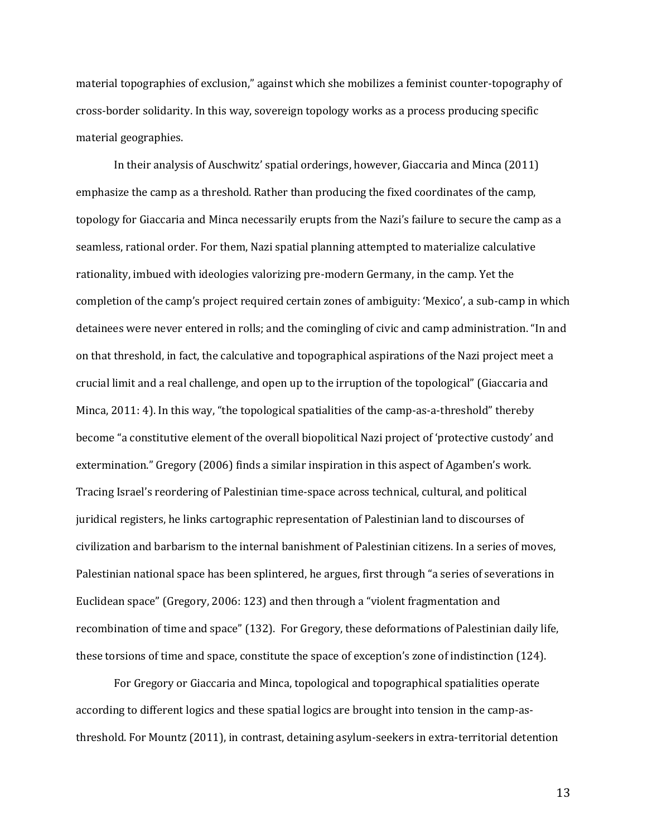material topographies of exclusion," against which she mobilizes a feminist counter-topography of cross-border solidarity. In this way, sovereign topology works as a process producing specific material geographies.

In their analysis of Auschwitz' spatial orderings, however, Giaccaria and Minca (2011) emphasize the camp as a threshold. Rather than producing the fixed coordinates of the camp, topology for Giaccaria and Minca necessarily erupts from the Nazi's failure to secure the camp as a seamless, rational order. For them, Nazi spatial planning attempted to materialize calculative rationality, imbued with ideologies valorizing pre-modern Germany, in the camp. Yet the completion of the camp's project required certain zones of ambiguity: 'Mexico', a sub-camp in which detainees were never entered in rolls; and the comingling of civic and camp administration. "In and on that threshold, in fact, the calculative and topographical aspirations of the Nazi project meet a crucial limit and a real challenge, and open up to the irruption of the topological" (Giaccaria and Minca, 2011: 4). In this way, "the topological spatialities of the camp-as-a-threshold" thereby become "a constitutive element of the overall biopolitical Nazi project of 'protective custody' and extermination." Gregory (2006) finds a similar inspiration in this aspect of Agamben's work. Tracing Israel's reordering of Palestinian time-space across technical, cultural, and political juridical registers, he links cartographic representation of Palestinian land to discourses of civilization and barbarism to the internal banishment of Palestinian citizens. In a series of moves, Palestinian national space has been splintered, he argues, first through "a series of severations in Euclidean space" (Gregory, 2006: 123) and then through a "violent fragmentation and recombination of time and space" (132). For Gregory, these deformations of Palestinian daily life, these torsions of time and space, constitute the space of exception's zone of indistinction (124).

For Gregory or Giaccaria and Minca, topological and topographical spatialities operate according to different logics and these spatial logics are brought into tension in the camp-asthreshold. For Mountz (2011), in contrast, detaining asylum-seekers in extra-territorial detention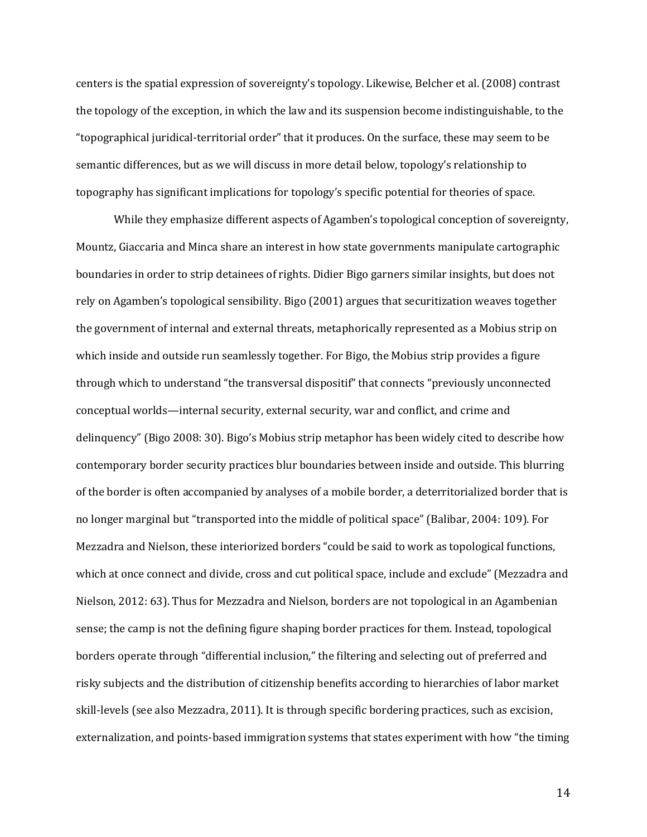centers is the spatial expression of sovereignty's topology. Likewise, Belcher et al. (2008) contrast the topology of the exception, in which the law and its suspension become indistinguishable, to the "topographical juridical-territorial order" that it produces. On the surface, these may seem to be semantic differences, but as we will discuss in more detail below, topology's relationship to topography has significant implications for topology's specific potential for theories of space.

While they emphasize different aspects of Agamben's topological conception of sovereignty, Mountz, Giaccaria and Minca share an interest in how state governments manipulate cartographic boundaries in order to strip detainees of rights. Didier Bigo garners similar insights, but does not rely on Agamben's topological sensibility. Bigo (2001) argues that securitization weaves together the government of internal and external threats, metaphorically represented as a Mobius strip on which inside and outside run seamlessly together. For Bigo, the Mobius strip provides a figure through which to understand "the transversal dispositif" that connects "previously unconnected conceptual worlds—internal security, external security, war and conflict, and crime and delinquency" (Bigo 2008: 30). Bigo's Mobius strip metaphor has been widely cited to describe how contemporary border security practices blur boundaries between inside and outside. This blurring of the border is often accompanied by analyses of a mobile border, a deterritorialized border that is no longer marginal but "transported into the middle of political space" (Balibar, 2004: 109). For Mezzadra and Nielson, these interiorized borders "could be said to work as topological functions, which at once connect and divide, cross and cut political space, include and exclude" (Mezzadra and Nielson, 2012: 63). Thus for Mezzadra and Nielson, borders are not topological in an Agambenian sense; the camp is not the defining figure shaping border practices for them. Instead, topological borders operate through "differential inclusion," the filtering and selecting out of preferred and risky subjects and the distribution of citizenship benefits according to hierarchies of labor market skill-levels (see also Mezzadra, 2011). It is through specific bordering practices, such as excision, externalization, and points-based immigration systems that states experiment with how "the timing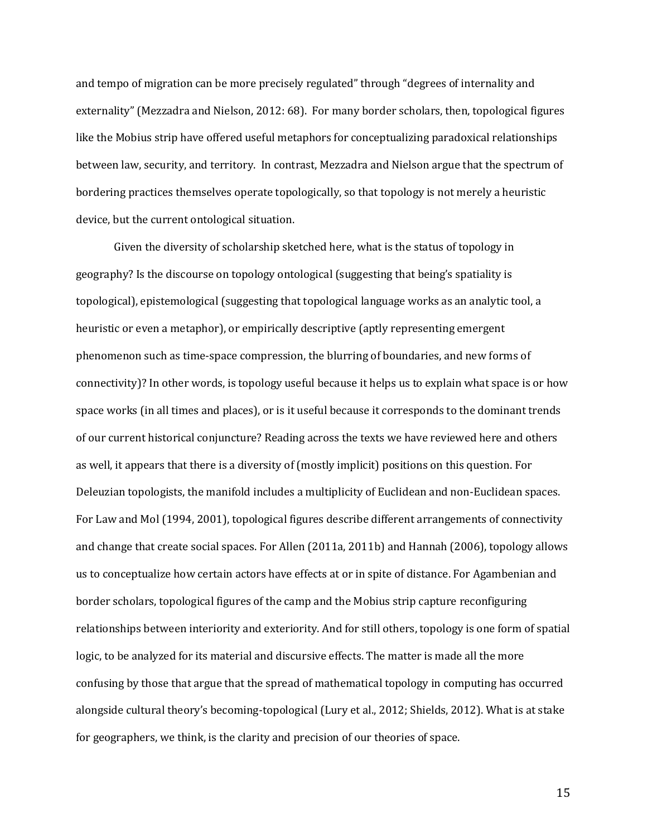and tempo of migration can be more precisely regulated" through "degrees of internality and externality" (Mezzadra and Nielson, 2012: 68). For many border scholars, then, topological figures like the Mobius strip have offered useful metaphors for conceptualizing paradoxical relationships between law, security, and territory. In contrast, Mezzadra and Nielson argue that the spectrum of bordering practices themselves operate topologically, so that topology is not merely a heuristic device, but the current ontological situation.

Given the diversity of scholarship sketched here, what is the status of topology in geography? Is the discourse on topology ontological (suggesting that being's spatiality is topological), epistemological (suggesting that topological language works as an analytic tool, a heuristic or even a metaphor), or empirically descriptive (aptly representing emergent phenomenon such as time-space compression, the blurring of boundaries, and new forms of connectivity)? In other words, is topology useful because it helps us to explain what space is or how space works (in all times and places), or is it useful because it corresponds to the dominant trends of our current historical conjuncture? Reading across the texts we have reviewed here and others as well, it appears that there is a diversity of (mostly implicit) positions on this question. For Deleuzian topologists, the manifold includes a multiplicity of Euclidean and non-Euclidean spaces. For Law and Mol (1994, 2001), topological figures describe different arrangements of connectivity and change that create social spaces. For Allen (2011a, 2011b) and Hannah (2006), topology allows us to conceptualize how certain actors have effects at or in spite of distance. For Agambenian and border scholars, topological figures of the camp and the Mobius strip capture reconfiguring relationships between interiority and exteriority. And for still others, topology is one form of spatial logic, to be analyzed for its material and discursive effects. The matter is made all the more confusing by those that argue that the spread of mathematical topology in computing has occurred alongside cultural theory's becoming-topological (Lury et al., 2012; Shields, 2012). What is at stake for geographers, we think, is the clarity and precision of our theories of space.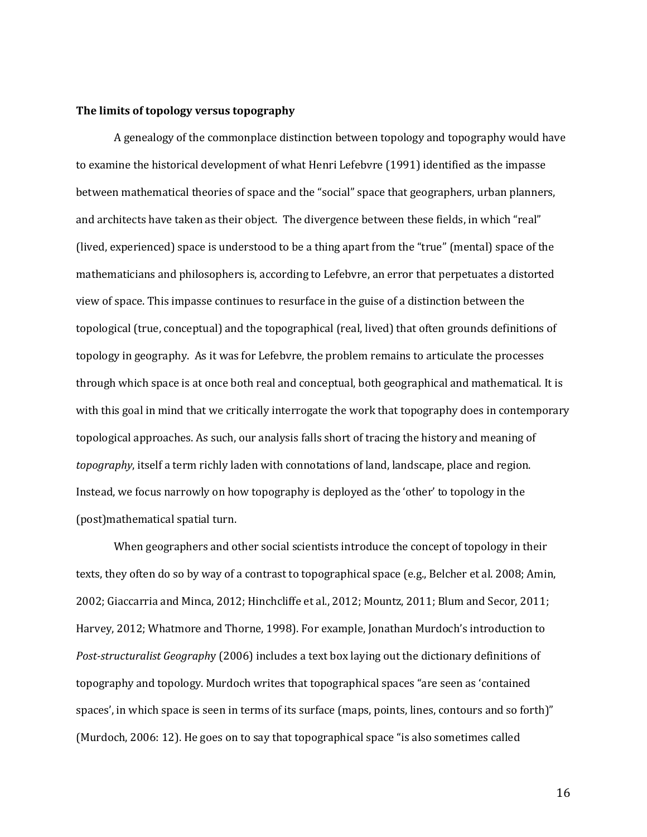#### **The limits of topology versus topography**

A genealogy of the commonplace distinction between topology and topography would have to examine the historical development of what Henri Lefebvre (1991) identified as the impasse between mathematical theories of space and the "social" space that geographers, urban planners, and architects have taken as their object. The divergence between these fields, in which "real" (lived, experienced) space is understood to be a thing apart from the "true" (mental) space of the mathematicians and philosophers is, according to Lefebvre, an error that perpetuates a distorted view of space. This impasse continues to resurface in the guise of a distinction between the topological (true, conceptual) and the topographical (real, lived) that often grounds definitions of topology in geography. As it was for Lefebvre, the problem remains to articulate the processes through which space is at once both real and conceptual, both geographical and mathematical. It is with this goal in mind that we critically interrogate the work that topography does in contemporary topological approaches. As such, our analysis falls short of tracing the history and meaning of *topography*, itself a term richly laden with connotations of land, landscape, place and region. Instead, we focus narrowly on how topography is deployed as the 'other' to topology in the (post)mathematical spatial turn.

When geographers and other social scientists introduce the concept of topology in their texts, they often do so by way of a contrast to topographical space (e.g., Belcher et al. 2008; Amin, 2002; Giaccarria and Minca, 2012; Hinchcliffe et al., 2012; Mountz, 2011; Blum and Secor, 2011; Harvey, 2012; Whatmore and Thorne, 1998). For example, Jonathan Murdoch's introduction to *Post-structuralist Geograph*y (2006) includes a text box laying out the dictionary definitions of topography and topology. Murdoch writes that topographical spaces "are seen as 'contained spaces', in which space is seen in terms of its surface (maps, points, lines, contours and so forth)" (Murdoch, 2006: 12). He goes on to say that topographical space "is also sometimes called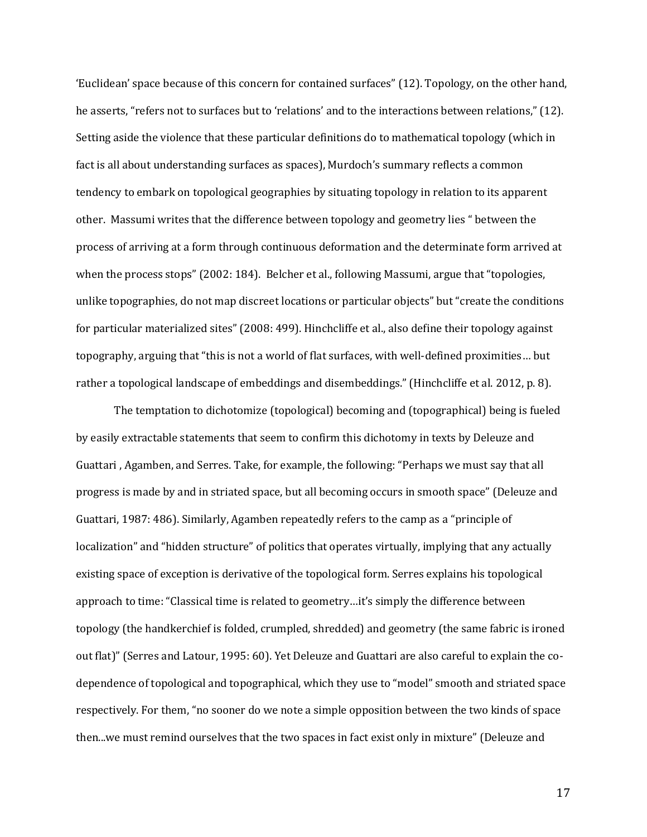'Euclidean' space because of this concern for contained surfaces" (12). Topology, on the other hand, he asserts, "refers not to surfaces but to 'relations' and to the interactions between relations," (12). Setting aside the violence that these particular definitions do to mathematical topology (which in fact is all about understanding surfaces as spaces), Murdoch's summary reflects a common tendency to embark on topological geographies by situating topology in relation to its apparent other. Massumi writes that the difference between topology and geometry lies " between the process of arriving at a form through continuous deformation and the determinate form arrived at when the process stops" (2002: 184). Belcher et al., following Massumi, argue that "topologies, unlike topographies, do not map discreet locations or particular objects" but "create the conditions for particular materialized sites" (2008: 499). Hinchcliffe et al., also define their topology against topography, arguing that "this is not a world of flat surfaces, with well-defined proximities… but rather a topological landscape of embeddings and disembeddings." (Hinchcliffe et al. 2012, p. 8).

The temptation to dichotomize (topological) becoming and (topographical) being is fueled by easily extractable statements that seem to confirm this dichotomy in texts by Deleuze and Guattari , Agamben, and Serres. Take, for example, the following: "Perhaps we must say that all progress is made by and in striated space, but all becoming occurs in smooth space" (Deleuze and Guattari, 1987: 486). Similarly, Agamben repeatedly refers to the camp as a "principle of localization" and "hidden structure" of politics that operates virtually, implying that any actually existing space of exception is derivative of the topological form. Serres explains his topological approach to time: "Classical time is related to geometry…it's simply the difference between topology (the handkerchief is folded, crumpled, shredded) and geometry (the same fabric is ironed out flat)" (Serres and Latour, 1995: 60). Yet Deleuze and Guattari are also careful to explain the codependence of topological and topographical, which they use to "model" smooth and striated space respectively. For them, "no sooner do we note a simple opposition between the two kinds of space then...we must remind ourselves that the two spaces in fact exist only in mixture" (Deleuze and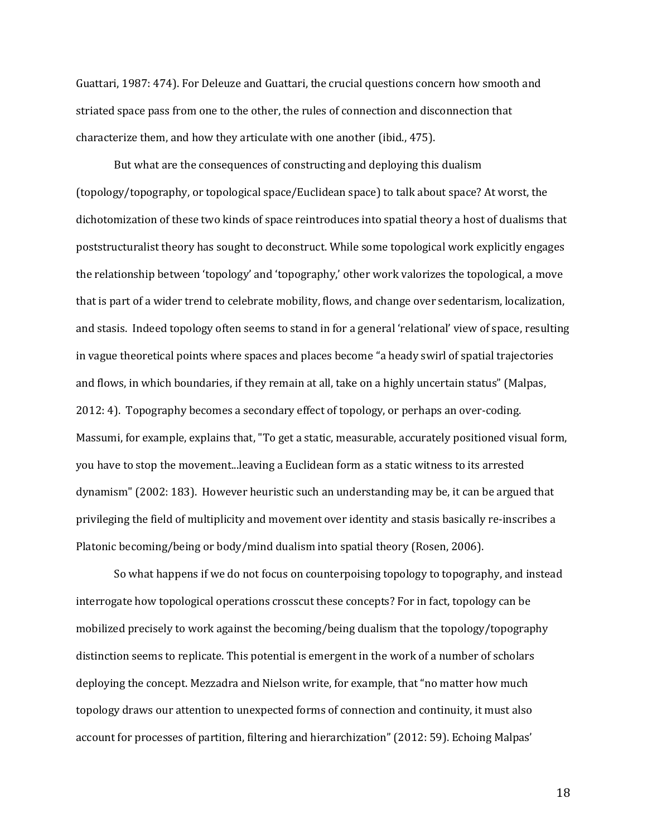Guattari, 1987: 474). For Deleuze and Guattari, the crucial questions concern how smooth and striated space pass from one to the other, the rules of connection and disconnection that characterize them, and how they articulate with one another (ibid., 475).

But what are the consequences of constructing and deploying this dualism (topology/topography, or topological space/Euclidean space) to talk about space? At worst, the dichotomization of these two kinds of space reintroduces into spatial theory a host of dualisms that poststructuralist theory has sought to deconstruct. While some topological work explicitly engages the relationship between 'topology' and 'topography,' other work valorizes the topological, a move that is part of a wider trend to celebrate mobility, flows, and change over sedentarism, localization, and stasis. Indeed topology often seems to stand in for a general 'relational' view of space, resulting in vague theoretical points where spaces and places become "a heady swirl of spatial trajectories and flows, in which boundaries, if they remain at all, take on a highly uncertain status" (Malpas, 2012: 4). Topography becomes a secondary effect of topology, or perhaps an over-coding. Massumi, for example, explains that, "To get a static, measurable, accurately positioned visual form, you have to stop the movement...leaving a Euclidean form as a static witness to its arrested dynamism" (2002: 183). However heuristic such an understanding may be, it can be argued that privileging the field of multiplicity and movement over identity and stasis basically re-inscribes a Platonic becoming/being or body/mind dualism into spatial theory (Rosen, 2006).

So what happens if we do not focus on counterpoising topology to topography, and instead interrogate how topological operations crosscut these concepts? For in fact, topology can be mobilized precisely to work against the becoming/being dualism that the topology/topography distinction seems to replicate. This potential is emergent in the work of a number of scholars deploying the concept. Mezzadra and Nielson write, for example, that "no matter how much topology draws our attention to unexpected forms of connection and continuity, it must also account for processes of partition, filtering and hierarchization" (2012: 59). Echoing Malpas'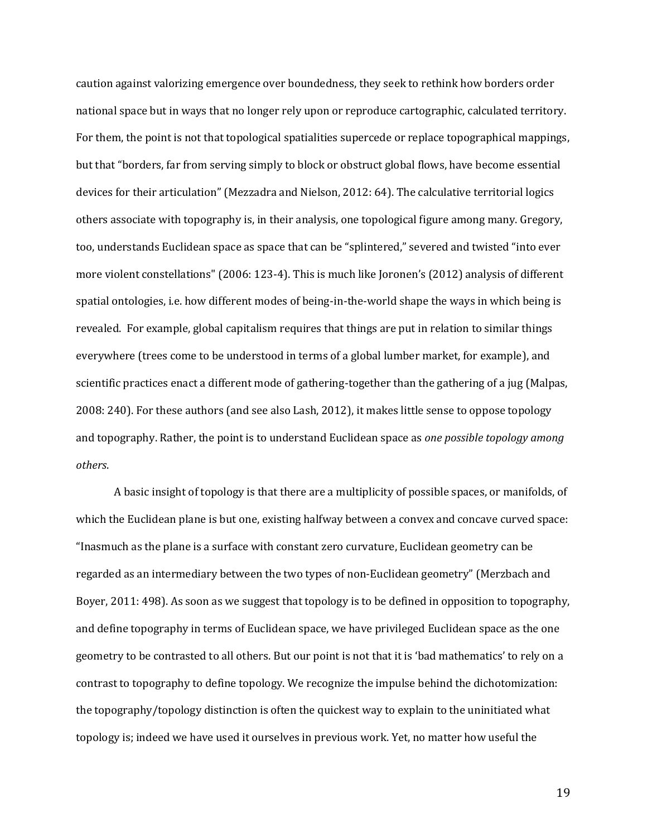caution against valorizing emergence over boundedness, they seek to rethink how borders order national space but in ways that no longer rely upon or reproduce cartographic, calculated territory. For them, the point is not that topological spatialities supercede or replace topographical mappings, but that "borders, far from serving simply to block or obstruct global flows, have become essential devices for their articulation" (Mezzadra and Nielson, 2012: 64). The calculative territorial logics others associate with topography is, in their analysis, one topological figure among many. Gregory, too, understands Euclidean space as space that can be "splintered," severed and twisted "into ever more violent constellations" (2006: 123-4). This is much like Joronen's (2012) analysis of different spatial ontologies, i.e. how different modes of being-in-the-world shape the ways in which being is revealed. For example, global capitalism requires that things are put in relation to similar things everywhere (trees come to be understood in terms of a global lumber market, for example), and scientific practices enact a different mode of gathering-together than the gathering of a jug (Malpas, 2008: 240). For these authors (and see also Lash, 2012), it makes little sense to oppose topology and topography. Rather, the point is to understand Euclidean space as *one possible topology among others*.

A basic insight of topology is that there are a multiplicity of possible spaces, or manifolds, of which the Euclidean plane is but one, existing halfway between a convex and concave curved space: "Inasmuch as the plane is a surface with constant zero curvature, Euclidean geometry can be regarded as an intermediary between the two types of non-Euclidean geometry" (Merzbach and Boyer, 2011: 498). As soon as we suggest that topology is to be defined in opposition to topography, and define topography in terms of Euclidean space, we have privileged Euclidean space as the one geometry to be contrasted to all others. But our point is not that it is 'bad mathematics' to rely on a contrast to topography to define topology. We recognize the impulse behind the dichotomization: the topography/topology distinction is often the quickest way to explain to the uninitiated what topology is; indeed we have used it ourselves in previous work. Yet, no matter how useful the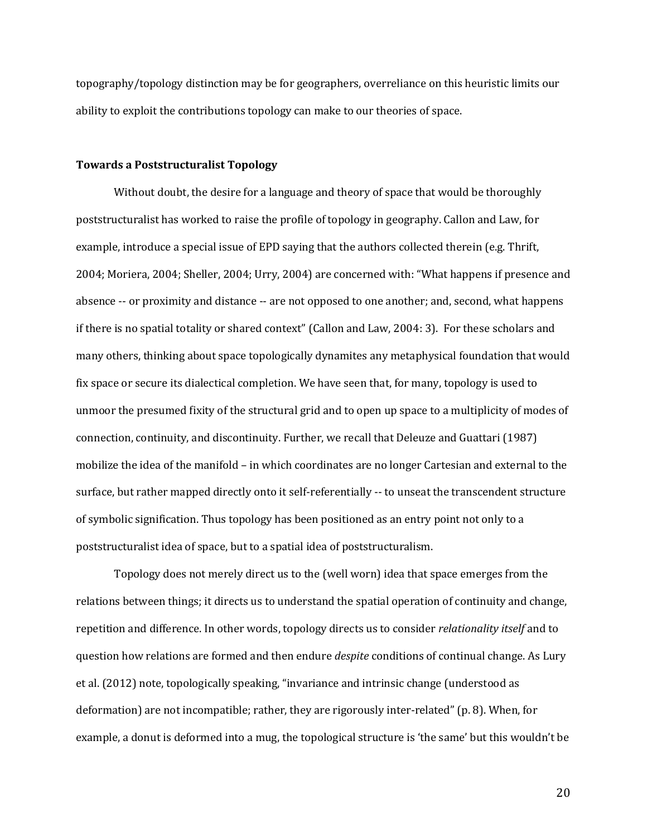topography/topology distinction may be for geographers, overreliance on this heuristic limits our ability to exploit the contributions topology can make to our theories of space.

#### **Towards a Poststructuralist Topology**

Without doubt, the desire for a language and theory of space that would be thoroughly poststructuralist has worked to raise the profile of topology in geography. Callon and Law, for example, introduce a special issue of EPD saying that the authors collected therein (e.g. Thrift, 2004; Moriera, 2004; Sheller, 2004; Urry, 2004) are concerned with: "What happens if presence and absence -- or proximity and distance -- are not opposed to one another; and, second, what happens if there is no spatial totality or shared context" (Callon and Law, 2004: 3). For these scholars and many others, thinking about space topologically dynamites any metaphysical foundation that would fix space or secure its dialectical completion. We have seen that, for many, topology is used to unmoor the presumed fixity of the structural grid and to open up space to a multiplicity of modes of connection, continuity, and discontinuity. Further, we recall that Deleuze and Guattari (1987) mobilize the idea of the manifold – in which coordinates are no longer Cartesian and external to the surface, but rather mapped directly onto it self-referentially -- to unseat the transcendent structure of symbolic signification. Thus topology has been positioned as an entry point not only to a poststructuralist idea of space, but to a spatial idea of poststructuralism.

Topology does not merely direct us to the (well worn) idea that space emerges from the relations between things; it directs us to understand the spatial operation of continuity and change, repetition and difference. In other words, topology directs us to consider *relationality itself* and to question how relations are formed and then endure *despite* conditions of continual change. As Lury et al. (2012) note, topologically speaking, "invariance and intrinsic change (understood as deformation) are not incompatible; rather, they are rigorously inter-related" (p. 8). When, for example, a donut is deformed into a mug, the topological structure is 'the same' but this wouldn't be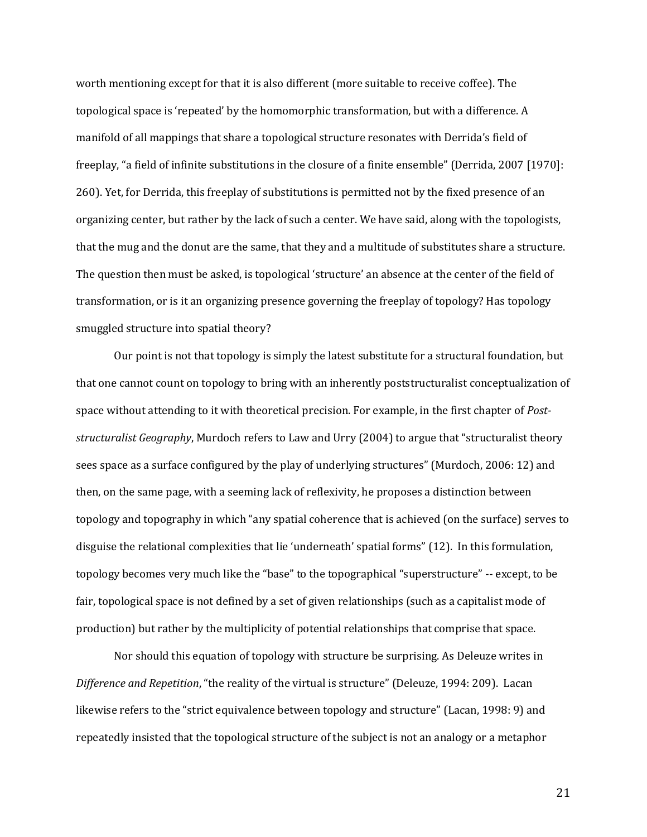worth mentioning except for that it is also different (more suitable to receive coffee). The topological space is 'repeated' by the homomorphic transformation, but with a difference. A manifold of all mappings that share a topological structure resonates with Derrida's field of freeplay, "a field of infinite substitutions in the closure of a finite ensemble" (Derrida, 2007 [1970]: 260). Yet, for Derrida, this freeplay of substitutions is permitted not by the fixed presence of an organizing center, but rather by the lack of such a center. We have said, along with the topologists, that the mug and the donut are the same, that they and a multitude of substitutes share a structure. The question then must be asked, is topological 'structure' an absence at the center of the field of transformation, or is it an organizing presence governing the freeplay of topology? Has topology smuggled structure into spatial theory?

Our point is not that topology is simply the latest substitute for a structural foundation, but that one cannot count on topology to bring with an inherently poststructuralist conceptualization of space without attending to it with theoretical precision. For example, in the first chapter of *Poststructuralist Geography*, Murdoch refers to Law and Urry (2004) to argue that "structuralist theory sees space as a surface configured by the play of underlying structures" (Murdoch, 2006: 12) and then, on the same page, with a seeming lack of reflexivity, he proposes a distinction between topology and topography in which "any spatial coherence that is achieved (on the surface) serves to disguise the relational complexities that lie 'underneath' spatial forms" (12). In this formulation, topology becomes very much like the "base" to the topographical "superstructure" -- except, to be fair, topological space is not defined by a set of given relationships (such as a capitalist mode of production) but rather by the multiplicity of potential relationships that comprise that space.

Nor should this equation of topology with structure be surprising. As Deleuze writes in *Difference and Repetition*, "the reality of the virtual is structure" (Deleuze, 1994: 209). Lacan likewise refers to the "strict equivalence between topology and structure" (Lacan, 1998: 9) and repeatedly insisted that the topological structure of the subject is not an analogy or a metaphor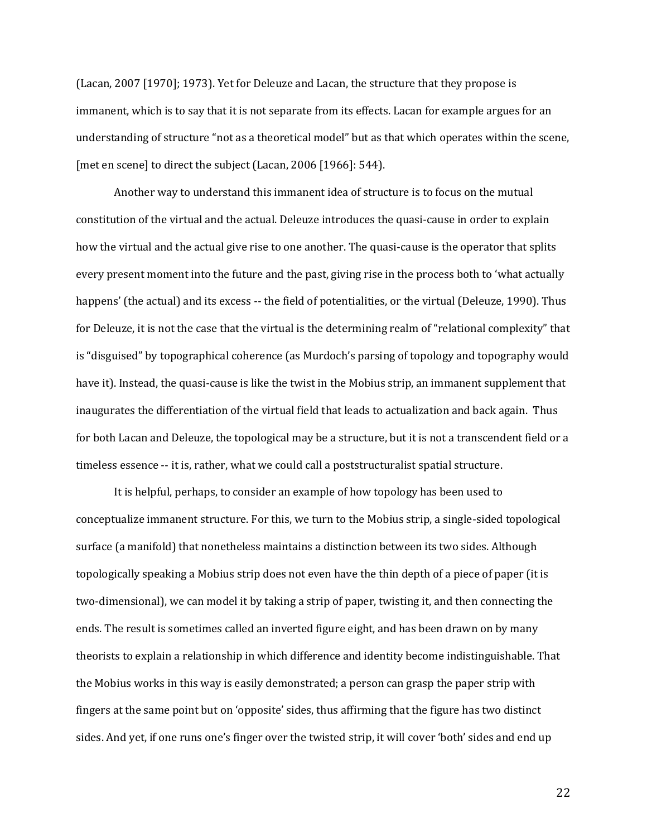(Lacan, 2007 [1970]; 1973). Yet for Deleuze and Lacan, the structure that they propose is immanent, which is to say that it is not separate from its effects. Lacan for example argues for an understanding of structure "not as a theoretical model" but as that which operates within the scene, [met en scene] to direct the subject (Lacan, 2006 [1966]: 544).

Another way to understand this immanent idea of structure is to focus on the mutual constitution of the virtual and the actual. Deleuze introduces the quasi-cause in order to explain how the virtual and the actual give rise to one another. The quasi-cause is the operator that splits every present moment into the future and the past, giving rise in the process both to 'what actually happens' (the actual) and its excess -- the field of potentialities, or the virtual (Deleuze, 1990). Thus for Deleuze, it is not the case that the virtual is the determining realm of "relational complexity" that is "disguised" by topographical coherence (as Murdoch's parsing of topology and topography would have it). Instead, the quasi-cause is like the twist in the Mobius strip, an immanent supplement that inaugurates the differentiation of the virtual field that leads to actualization and back again. Thus for both Lacan and Deleuze, the topological may be a structure, but it is not a transcendent field or a timeless essence -- it is, rather, what we could call a poststructuralist spatial structure.

It is helpful, perhaps, to consider an example of how topology has been used to conceptualize immanent structure. For this, we turn to the Mobius strip, a single-sided topological surface (a manifold) that nonetheless maintains a distinction between its two sides. Although topologically speaking a Mobius strip does not even have the thin depth of a piece of paper (it is two-dimensional), we can model it by taking a strip of paper, twisting it, and then connecting the ends. The result is sometimes called an inverted figure eight, and has been drawn on by many theorists to explain a relationship in which difference and identity become indistinguishable. That the Mobius works in this way is easily demonstrated; a person can grasp the paper strip with fingers at the same point but on 'opposite' sides, thus affirming that the figure has two distinct sides. And yet, if one runs one's finger over the twisted strip, it will cover 'both' sides and end up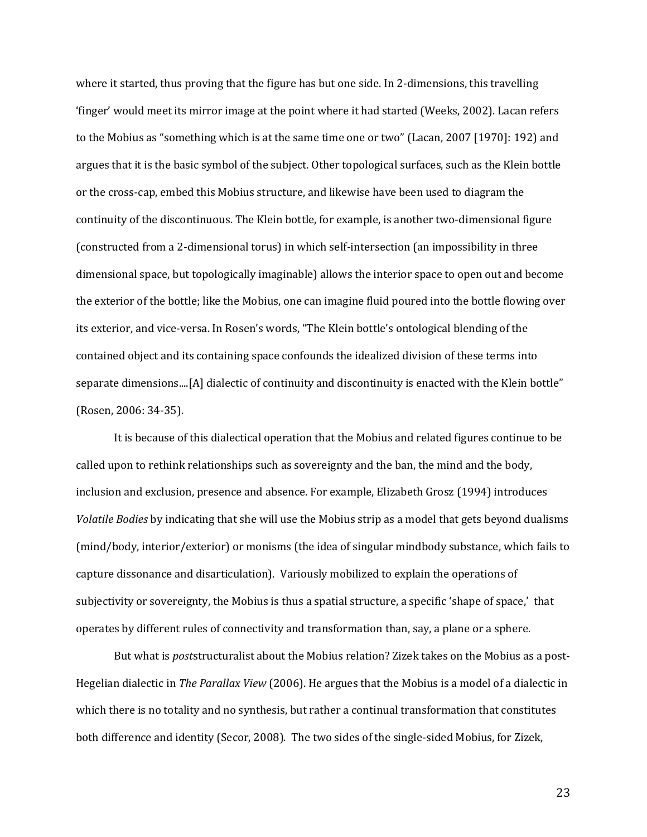where it started, thus proving that the figure has but one side. In 2-dimensions, this travelling 'finger' would meet its mirror image at the point where it had started (Weeks, 2002). Lacan refers to the Mobius as "something which is at the same time one or two" (Lacan, 2007 [1970]: 192) and argues that it is the basic symbol of the subject. Other topological surfaces, such as the Klein bottle or the cross-cap, embed this Mobius structure, and likewise have been used to diagram the continuity of the discontinuous. The Klein bottle, for example, is another two-dimensional figure (constructed from a 2-dimensional torus) in which self-intersection (an impossibility in three dimensional space, but topologically imaginable) allows the interior space to open out and become the exterior of the bottle; like the Mobius, one can imagine fluid poured into the bottle flowing over its exterior, and vice-versa. In Rosen's words, "The Klein bottle's ontological blending of the contained object and its containing space confounds the idealized division of these terms into separate dimensions....[A] dialectic of continuity and discontinuity is enacted with the Klein bottle" (Rosen, 2006: 34-35).

It is because of this dialectical operation that the Mobius and related figures continue to be called upon to rethink relationships such as sovereignty and the ban, the mind and the body, inclusion and exclusion, presence and absence. For example, Elizabeth Grosz (1994) introduces *Volatile Bodies* by indicating that she will use the Mobius strip as a model that gets beyond dualisms (mind/body, interior/exterior) or monisms (the idea of singular mindbody substance, which fails to capture dissonance and disarticulation). Variously mobilized to explain the operations of subjectivity or sovereignty, the Mobius is thus a spatial structure, a specific 'shape of space,' that operates by different rules of connectivity and transformation than, say, a plane or a sphere.

But what is *post*structuralist about the Mobius relation? Zizek takes on the Mobius as a post-Hegelian dialectic in *The Parallax View* (2006). He argues that the Mobius is a model of a dialectic in which there is no totality and no synthesis, but rather a continual transformation that constitutes both difference and identity (Secor, 2008). The two sides of the single-sided Mobius, for Zizek,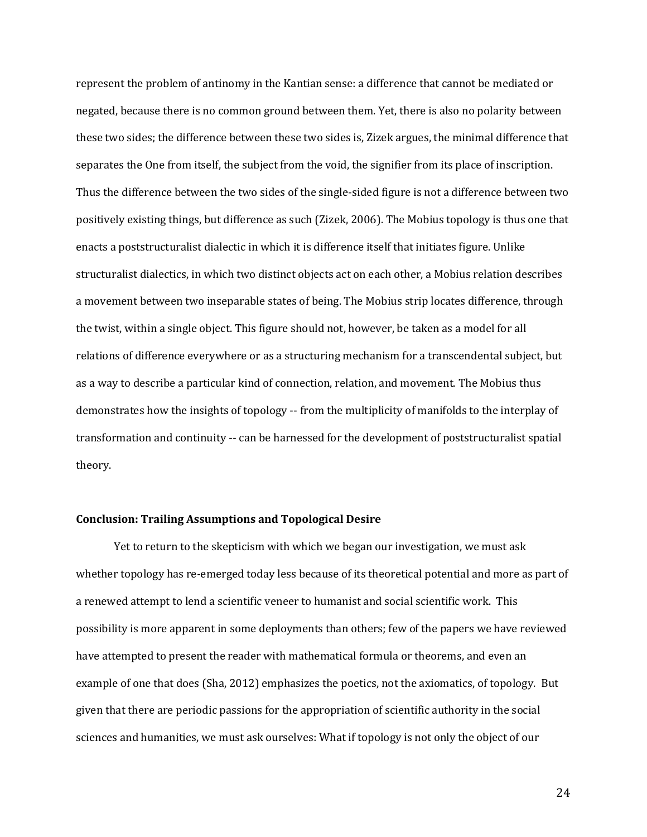represent the problem of antinomy in the Kantian sense: a difference that cannot be mediated or negated, because there is no common ground between them. Yet, there is also no polarity between these two sides; the difference between these two sides is, Zizek argues, the minimal difference that separates the One from itself, the subject from the void, the signifier from its place of inscription. Thus the difference between the two sides of the single-sided figure is not a difference between two positively existing things, but difference as such (Zizek, 2006). The Mobius topology is thus one that enacts a poststructuralist dialectic in which it is difference itself that initiates figure. Unlike structuralist dialectics, in which two distinct objects act on each other, a Mobius relation describes a movement between two inseparable states of being. The Mobius strip locates difference, through the twist, within a single object. This figure should not, however, be taken as a model for all relations of difference everywhere or as a structuring mechanism for a transcendental subject, but as a way to describe a particular kind of connection, relation, and movement. The Mobius thus demonstrates how the insights of topology -- from the multiplicity of manifolds to the interplay of transformation and continuity -- can be harnessed for the development of poststructuralist spatial theory.

#### **Conclusion: Trailing Assumptions and Topological Desire**

Yet to return to the skepticism with which we began our investigation, we must ask whether topology has re-emerged today less because of its theoretical potential and more as part of a renewed attempt to lend a scientific veneer to humanist and social scientific work. This possibility is more apparent in some deployments than others; few of the papers we have reviewed have attempted to present the reader with mathematical formula or theorems, and even an example of one that does (Sha, 2012) emphasizes the poetics, not the axiomatics, of topology. But given that there are periodic passions for the appropriation of scientific authority in the social sciences and humanities, we must ask ourselves: What if topology is not only the object of our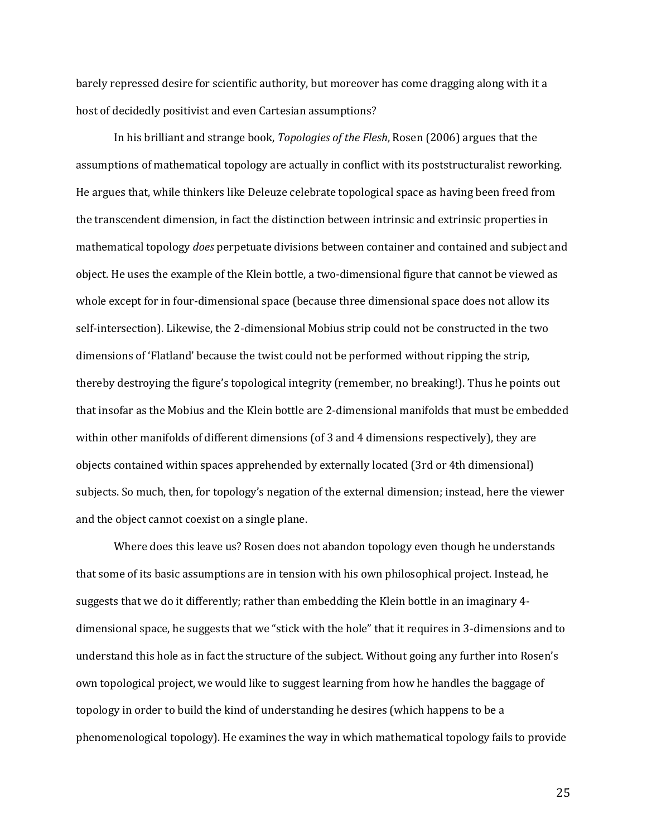barely repressed desire for scientific authority, but moreover has come dragging along with it a host of decidedly positivist and even Cartesian assumptions?

In his brilliant and strange book, *Topologies of the Flesh*, Rosen (2006) argues that the assumptions of mathematical topology are actually in conflict with its poststructuralist reworking. He argues that, while thinkers like Deleuze celebrate topological space as having been freed from the transcendent dimension, in fact the distinction between intrinsic and extrinsic properties in mathematical topology *does* perpetuate divisions between container and contained and subject and object. He uses the example of the Klein bottle, a two-dimensional figure that cannot be viewed as whole except for in four-dimensional space (because three dimensional space does not allow its self-intersection). Likewise, the 2-dimensional Mobius strip could not be constructed in the two dimensions of 'Flatland' because the twist could not be performed without ripping the strip, thereby destroying the figure's topological integrity (remember, no breaking!). Thus he points out that insofar as the Mobius and the Klein bottle are 2-dimensional manifolds that must be embedded within other manifolds of different dimensions (of 3 and 4 dimensions respectively), they are objects contained within spaces apprehended by externally located (3rd or 4th dimensional) subjects. So much, then, for topology's negation of the external dimension; instead, here the viewer and the object cannot coexist on a single plane.

Where does this leave us? Rosen does not abandon topology even though he understands that some of its basic assumptions are in tension with his own philosophical project. Instead, he suggests that we do it differently; rather than embedding the Klein bottle in an imaginary 4 dimensional space, he suggests that we "stick with the hole" that it requires in 3-dimensions and to understand this hole as in fact the structure of the subject. Without going any further into Rosen's own topological project, we would like to suggest learning from how he handles the baggage of topology in order to build the kind of understanding he desires (which happens to be a phenomenological topology). He examines the way in which mathematical topology fails to provide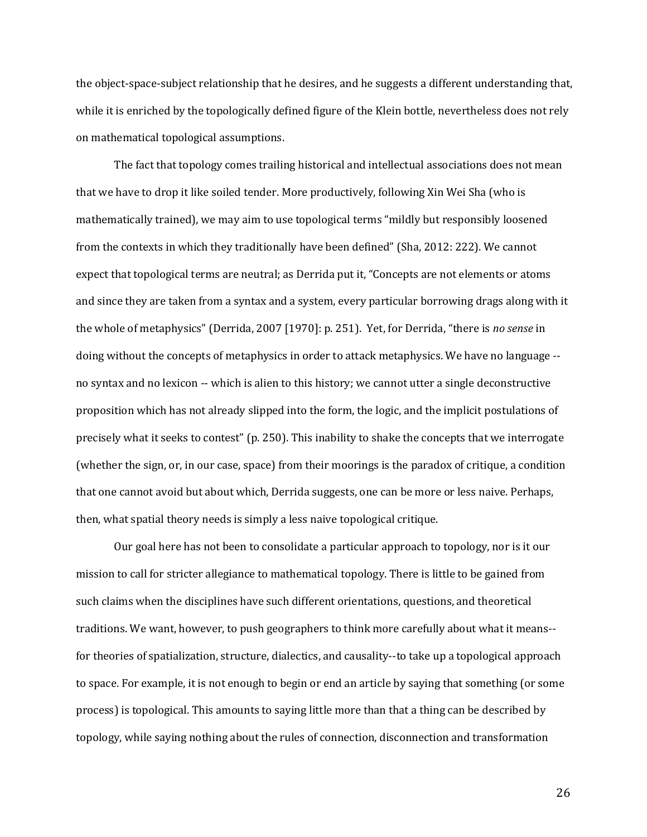the object-space-subject relationship that he desires, and he suggests a different understanding that, while it is enriched by the topologically defined figure of the Klein bottle, nevertheless does not rely on mathematical topological assumptions.

The fact that topology comes trailing historical and intellectual associations does not mean that we have to drop it like soiled tender. More productively, following Xin Wei Sha (who is mathematically trained), we may aim to use topological terms "mildly but responsibly loosened from the contexts in which they traditionally have been defined" (Sha, 2012: 222). We cannot expect that topological terms are neutral; as Derrida put it, "Concepts are not elements or atoms and since they are taken from a syntax and a system, every particular borrowing drags along with it the whole of metaphysics" (Derrida, 2007 [1970]: p. 251). Yet, for Derrida, "there is *no sense* in doing without the concepts of metaphysics in order to attack metaphysics. We have no language - no syntax and no lexicon -- which is alien to this history; we cannot utter a single deconstructive proposition which has not already slipped into the form, the logic, and the implicit postulations of precisely what it seeks to contest" (p. 250). This inability to shake the concepts that we interrogate (whether the sign, or, in our case, space) from their moorings is the paradox of critique, a condition that one cannot avoid but about which, Derrida suggests, one can be more or less naive. Perhaps, then, what spatial theory needs is simply a less naive topological critique.

Our goal here has not been to consolidate a particular approach to topology, nor is it our mission to call for stricter allegiance to mathematical topology. There is little to be gained from such claims when the disciplines have such different orientations, questions, and theoretical traditions. We want, however, to push geographers to think more carefully about what it means- for theories of spatialization, structure, dialectics, and causality--to take up a topological approach to space. For example, it is not enough to begin or end an article by saying that something (or some process) is topological. This amounts to saying little more than that a thing can be described by topology, while saying nothing about the rules of connection, disconnection and transformation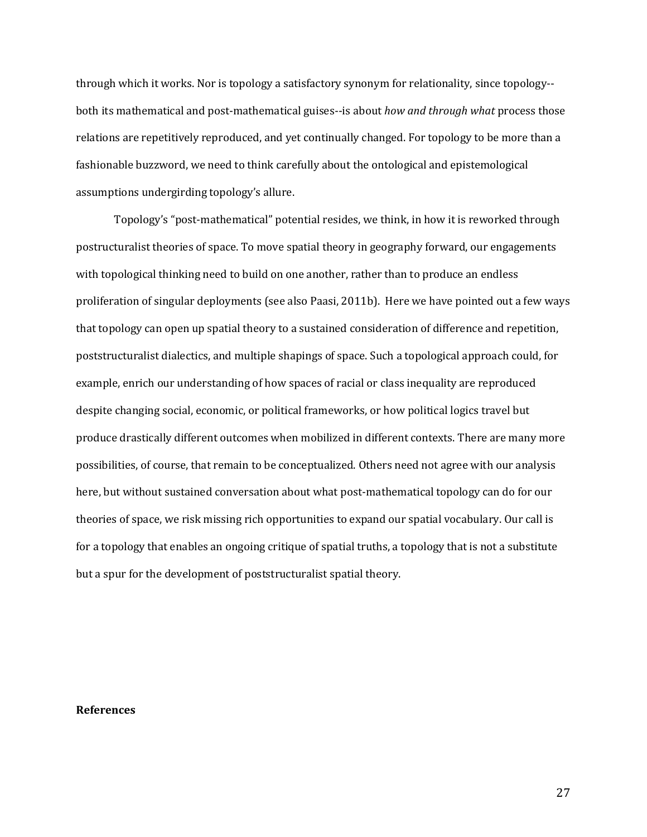through which it works. Nor is topology a satisfactory synonym for relationality, since topology- both its mathematical and post-mathematical guises--is about *how and through what* process those relations are repetitively reproduced, and yet continually changed. For topology to be more than a fashionable buzzword, we need to think carefully about the ontological and epistemological assumptions undergirding topology's allure.

Topology's "post-mathematical" potential resides, we think, in how it is reworked through postructuralist theories of space. To move spatial theory in geography forward, our engagements with topological thinking need to build on one another, rather than to produce an endless proliferation of singular deployments (see also Paasi, 2011b). Here we have pointed out a few ways that topology can open up spatial theory to a sustained consideration of difference and repetition, poststructuralist dialectics, and multiple shapings of space. Such a topological approach could, for example, enrich our understanding of how spaces of racial or class inequality are reproduced despite changing social, economic, or political frameworks, or how political logics travel but produce drastically different outcomes when mobilized in different contexts. There are many more possibilities, of course, that remain to be conceptualized. Others need not agree with our analysis here, but without sustained conversation about what post-mathematical topology can do for our theories of space, we risk missing rich opportunities to expand our spatial vocabulary. Our call is for a topology that enables an ongoing critique of spatial truths, a topology that is not a substitute but a spur for the development of poststructuralist spatial theory.

#### **References**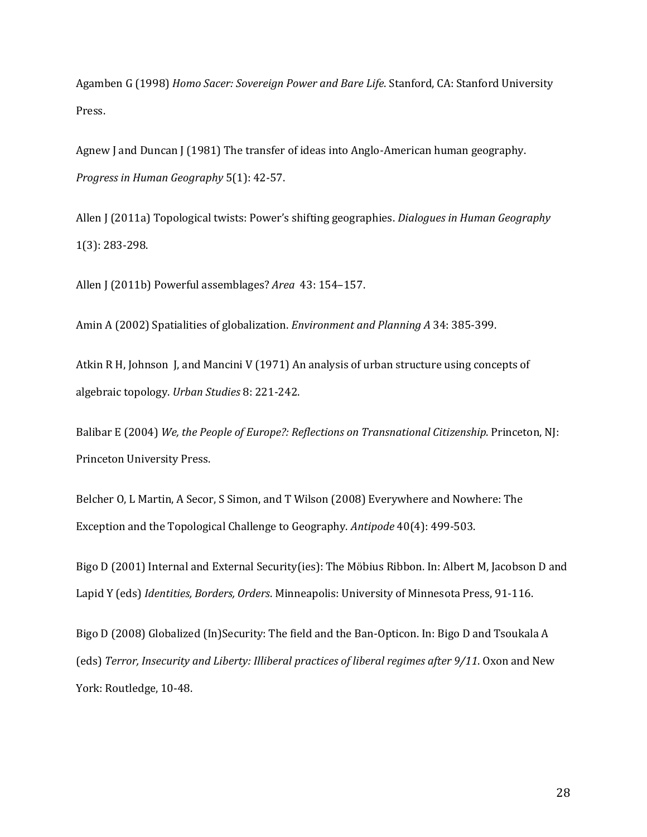Agamben G (1998) *Homo Sacer: Sovereign Power and Bare Life*. Stanford, CA: Stanford University Press.

Agnew J and Duncan J (1981) The transfer of ideas into Anglo-American human geography. *Progress in Human Geography* 5(1): 42-57.

Allen J (2011a) Topological twists: Power's shifting geographies. *Dialogues in Human Geography* 1(3): 283-298.

Allen J (2011b) Powerful assemblages? *Area* 43: 154–157.

Amin A (2002) Spatialities of globalization. *Environment and Planning A* 34: 385-399.

Atkin R H, Johnson J, and Mancini V (1971) An analysis of urban structure using concepts of algebraic topology. *Urban Studies* 8: 221-242.

Balibar E (2004) *We, the People of Europe?: Reflections on Transnational Citizenship*. Princeton, NJ: Princeton University Press.

Belcher O, L Martin, A Secor, S Simon, and T Wilson (2008) Everywhere and Nowhere: The Exception and the Topological Challenge to Geography. *Antipode* 40(4): 499-503.

Bigo D (2001) Internal and External Security(ies): The Möbius Ribbon. In: Albert M, Jacobson D and Lapid Y (eds) *Identities, Borders, Orders*. Minneapolis: University of Minnesota Press, 91-116.

Bigo D (2008) Globalized (In)Security: The field and the Ban-Opticon. In: Bigo D and Tsoukala A (eds) *Terror, Insecurity and Liberty: Illiberal practices of liberal regimes after 9/11*. Oxon and New York: Routledge, 10-48.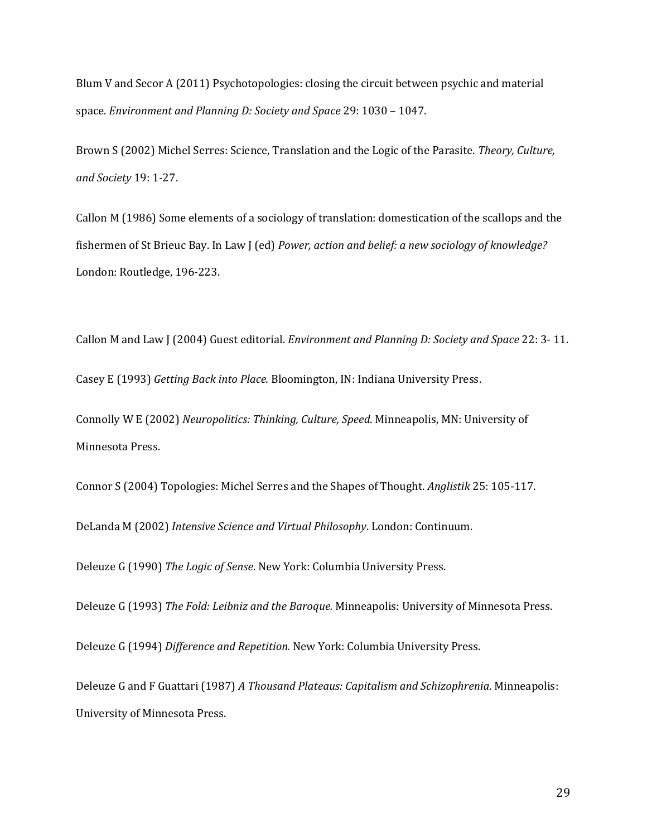Blum V and Secor A (2011) Psychotopologies: closing the circuit between psychic and material space. *Environment and Planning D: Society and Space* 29: 1030 – 1047.

Brown S (2002) Michel Serres: Science, Translation and the Logic of the Parasite. *Theory, Culture, and Society* 19: 1-27.

Callon M (1986) Some elements of a sociology of translation: domestication of the scallops and the fishermen of St Brieuc Bay. In Law J (ed) *Power, action and belief: a new sociology of knowledge?* London: Routledge, 196-223.

Callon M and Law J (2004) Guest editorial. *Environment and Planning D: Society and Space* 22: 3- 11. Casey E (1993) *Getting Back into Place.* Bloomington, IN: Indiana University Press.

Connolly W E (2002) *Neuropolitics: Thinking, Culture, Speed*. Minneapolis, MN: University of Minnesota Press.

Connor S (2004) Topologies: Michel Serres and the Shapes of Thought. *Anglistik* 25: 105-117.

DeLanda M (2002) *Intensive Science and Virtual Philosophy*. London: Continuum.

Deleuze G (1990) *The Logic of Sense*. New York: Columbia University Press.

Deleuze G (1993) *The Fold: Leibniz and the Baroque.* Minneapolis: University of Minnesota Press.

Deleuze G (1994) *Difference and Repetition.* New York: Columbia University Press.

Deleuze G and F Guattari (1987) *A Thousand Plateaus: Capitalism and Schizophrenia*. Minneapolis: University of Minnesota Press.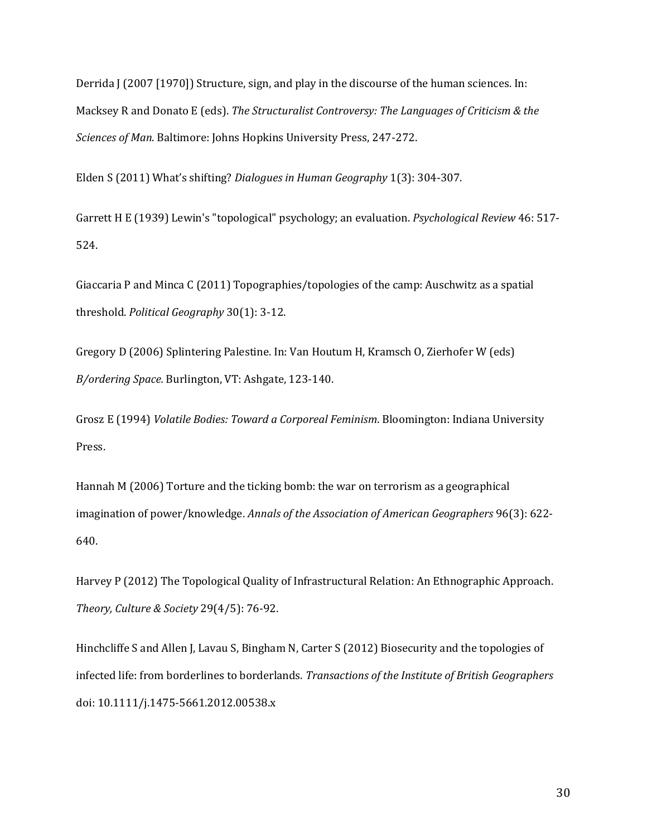Derrida J (2007 [1970]) Structure, sign, and play in the discourse of the human sciences. In: Macksey R and Donato E (eds). *The Structuralist Controversy: The Languages of Criticism & the Sciences of Man*. Baltimore: Johns Hopkins University Press, 247-272.

Elden S (2011) What's shifting? *Dialogues in Human Geography* 1(3): 304-307.

Garrett H E (1939) Lewin's "topological" psychology; an evaluation. *Psychological Review* 46: 517- 524.

Giaccaria P and Minca C (2011) Topographies/topologies of the camp: Auschwitz as a spatial threshold. *Political Geography* 30(1): 3-12.

Gregory D (2006) Splintering Palestine. In: Van Houtum H, Kramsch O, Zierhofer W (eds) *B/ordering Space.* Burlington, VT: Ashgate, 123-140.

Grosz E (1994) *Volatile Bodies: Toward a Corporeal Feminism*. Bloomington: Indiana University Press.

Hannah M (2006) Torture and the ticking bomb: the war on terrorism as a geographical imagination of power/knowledge. *Annals of the Association of American Geographers* 96(3): 622- 640.

Harvey P (2012) The Topological Quality of Infrastructural Relation: An Ethnographic Approach. *Theory, Culture & Society* 29(4/5): 76-92.

Hinchcliffe S and Allen J, Lavau S, Bingham N, Carter S (2012) Biosecurity and the topologies of infected life: from borderlines to borderlands. *Transactions of the Institute of British Geographers* doi: 10.1111/j.1475-5661.2012.00538.x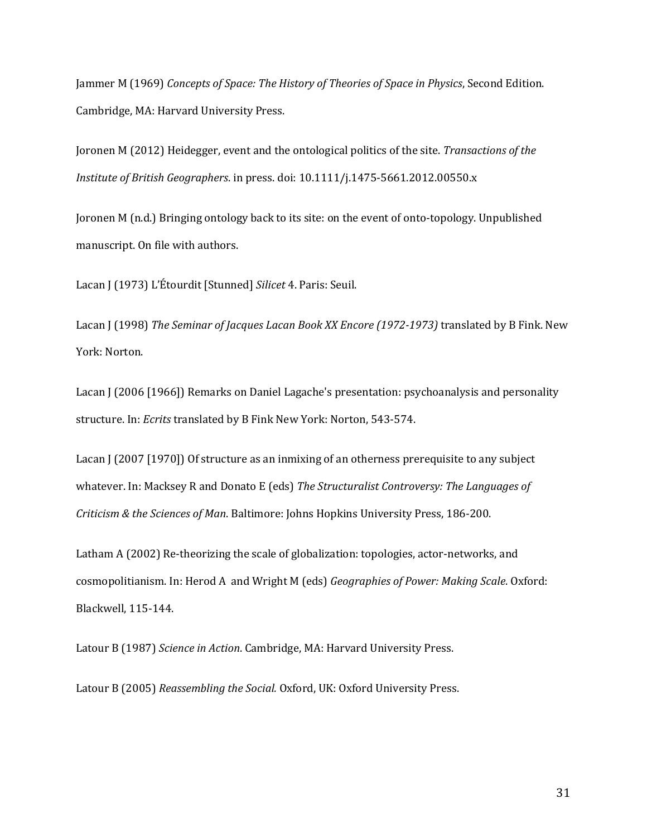Jammer M (1969) *Concepts of Space: The History of Theories of Space in Physics*, Second Edition. Cambridge, MA: Harvard University Press.

Joronen M (2012) Heidegger, event and the ontological politics of the site. *Transactions of the Institute of British Geographers*. in press. doi: 10.1111/j.1475-5661.2012.00550.x

Joronen M (n.d.) Bringing ontology back to its site: on the event of onto-topology. Unpublished manuscript. On file with authors.

Lacan J (1973) L'Étourdit [Stunned] *Silicet* 4. Paris: Seuil.

Lacan J (1998) *The Seminar of Jacques Lacan Book XX Encore (1972-1973)* translated by B Fink. New York: Norton.

Lacan J (2006 [1966]) Remarks on Daniel Lagache's presentation: psychoanalysis and personality structure. In: *Ecrits* translated by B Fink New York: Norton, 543-574.

Lacan J (2007 [1970]) Of structure as an inmixing of an otherness prerequisite to any subject whatever. In: Macksey R and Donato E (eds) *The Structuralist Controversy: The Languages of Criticism & the Sciences of Man*. Baltimore: Johns Hopkins University Press, 186-200.

Latham A (2002) Re-theorizing the scale of globalization: topologies, actor-networks, and cosmopolitianism. In: Herod A and Wright M (eds) *Geographies of Power: Making Scale*. Oxford: Blackwell, 115-144.

Latour B (1987) *Science in Action*. Cambridge, MA: Harvard University Press.

Latour B (2005) *Reassembling the Social.* Oxford, UK: Oxford University Press.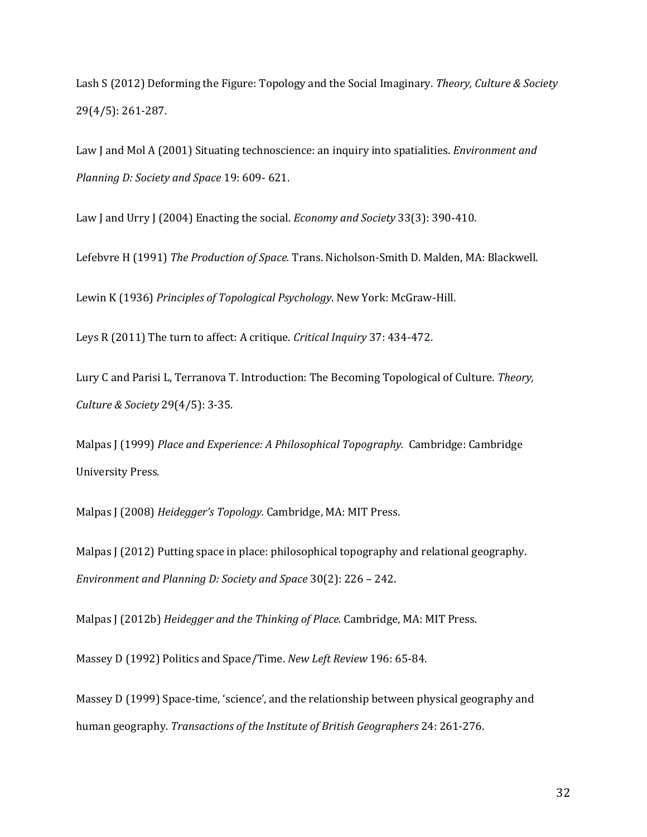Lash S (2012) Deforming the Figure: Topology and the Social Imaginary. *Theory, Culture & Society* 29(4/5): 261-287.

Law J and Mol A (2001) Situating technoscience: an inquiry into spatialities. *Environment and Planning D: Society and Space* 19: 609- 621.

Law J and Urry J (2004) Enacting the social. *Economy and Society* 33(3): 390-410.

Lefebvre H (1991) *The Production of Space.* Trans. Nicholson-Smith D. Malden, MA: Blackwell.

Lewin K (1936) *Principles of Topological Psychology*. New York: McGraw-Hill.

Leys R (2011) The turn to affect: A critique. *Critical Inquiry* 37: 434-472.

Lury C and Parisi L, Terranova T. Introduction: The Becoming Topological of Culture. *Theory, Culture & Society* 29(4/5): 3-35.

Malpas J (1999) *Place and Experience: A Philosophical Topography.* Cambridge: Cambridge University Press.

Malpas J (2008) *Heidegger's Topology.* Cambridge, MA: MIT Press.

Malpas J (2012) Putting space in place: philosophical topography and relational geography. *Environment and Planning D: Society and Space* 30(2): 226 – 242.

Malpas J (2012b) *Heidegger and the Thinking of Place.* Cambridge, MA: MIT Press.

Massey D (1992) Politics and Space/Time. *New Left Review* 196: 65-84.

Massey D (1999) Space-time, 'science', and the relationship between physical geography and human geography. *Transactions of the Institute of British Geographers* 24: 261-276.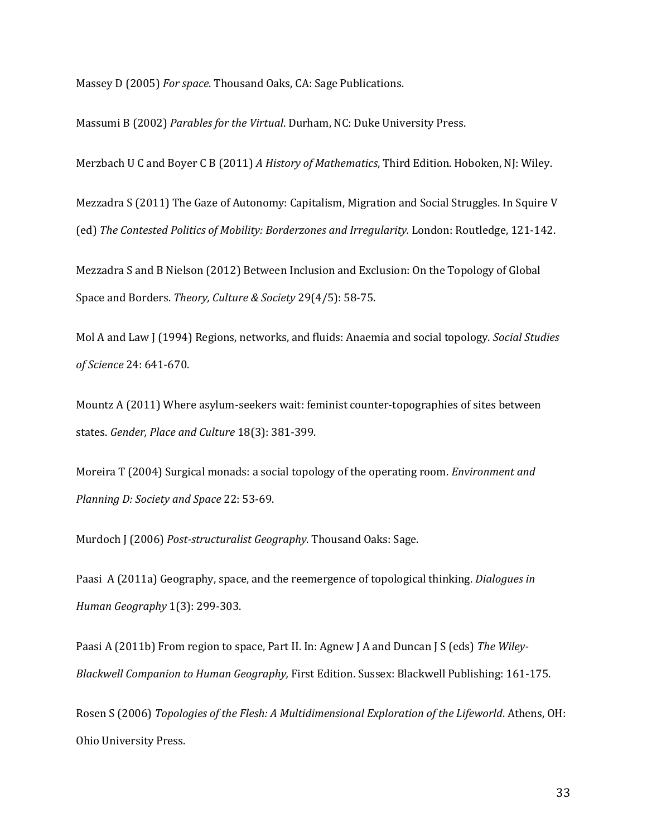Massey D (2005) *For space*. Thousand Oaks, CA: Sage Publications.

Massumi B (2002) *Parables for the Virtual*. Durham, NC: Duke University Press.

Merzbach U C and Boyer C B (2011) *A History of Mathematics*, Third Edition. Hoboken, NJ: Wiley.

Mezzadra S (2011) The Gaze of Autonomy: Capitalism, Migration and Social Struggles. In Squire V (ed) *The Contested Politics of Mobility: Borderzones and Irregularity.* London: Routledge, 121-142.

Mezzadra S and B Nielson (2012) Between Inclusion and Exclusion: On the Topology of Global Space and Borders. *Theory, Culture & Society* 29(4/5): 58-75.

Mol A and Law J (1994) Regions, networks, and fluids: Anaemia and social topology. *Social Studies of Science* 24: 641-670.

Mountz A (2011) Where asylum-seekers wait: feminist counter-topographies of sites between states. *Gender, Place and Culture* 18(3): 381-399.

Moreira T (2004) Surgical monads: a social topology of the operating room. *Environment and Planning D: Society and Space* 22: 53-69.

Murdoch J (2006) *Post-structuralist Geography*. Thousand Oaks: Sage.

Paasi A (2011a) Geography, space, and the reemergence of topological thinking. *Dialogues in Human Geography* 1(3): 299-303.

Paasi A (2011b) From region to space, Part II. In: Agnew J A and Duncan J S (eds) *The Wiley-Blackwell Companion to Human Geography,* First Edition. Sussex: Blackwell Publishing: 161-175.

Rosen S (2006) *Topologies of the Flesh: A Multidimensional Exploration of the Lifeworld*. Athens, OH: Ohio University Press.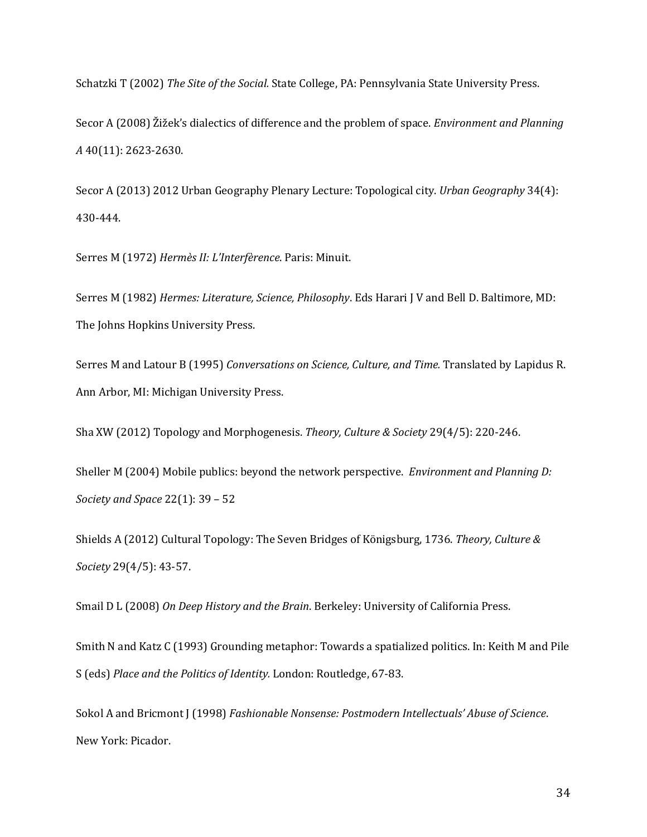Schatzki T (2002) *The Site of the Social.* State College, PA: Pennsylvania State University Press.

Secor A (2008) Žižek's dialectics of difference and the problem of space. *Environment and Planning A* 40(11): 2623-2630.

Secor A (2013) 2012 Urban Geography Plenary Lecture: Topological city. *Urban Geography* 34(4): 430-444.

Serres M (1972) *Hermès II: L'Interfèrence*. Paris: Minuit.

Serres M (1982) *Hermes: Literature, Science, Philosophy*. Eds Harari J V and Bell D. Baltimore, MD: The Johns Hopkins University Press.

Serres M and Latour B (1995) *Conversations on Science, Culture, and Time.* Translated by Lapidus R. Ann Arbor, MI: Michigan University Press.

Sha XW (2012) Topology and Morphogenesis. *Theory, Culture & Society* 29(4/5): 220-246.

Sheller M (2004) Mobile publics: beyond the network perspective. *Environment and Planning D: Society and Space* 22(1): 39 – 52

Shields A (2012) Cultural Topology: The Seven Bridges of Königsburg, 1736. *Theory, Culture & Society* 29(4/5): 43-57.

Smail D L (2008) *On Deep History and the Brain*. Berkeley: University of California Press.

Smith N and Katz C (1993) Grounding metaphor: Towards a spatialized politics. In: Keith M and Pile S (eds) *Place and the Politics of Identity.* London: Routledge, 67-83.

Sokol A and Bricmont J (1998) *Fashionable Nonsense: Postmodern Intellectuals' Abuse of Science*. New York: Picador.